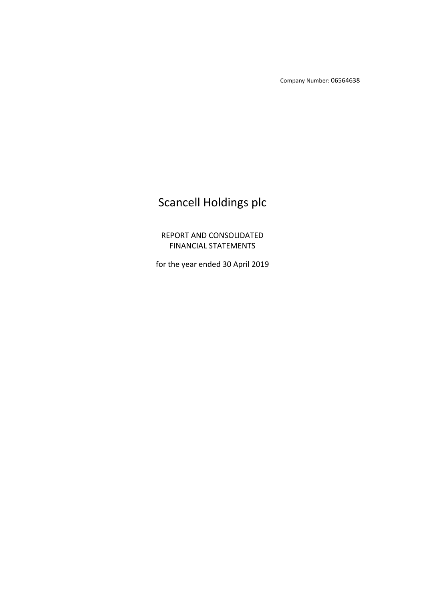Company Number: 06564638

# Scancell Holdings plc

REPORT AND CONSOLIDATED FINANCIAL STATEMENTS

for the year ended 30 April 2019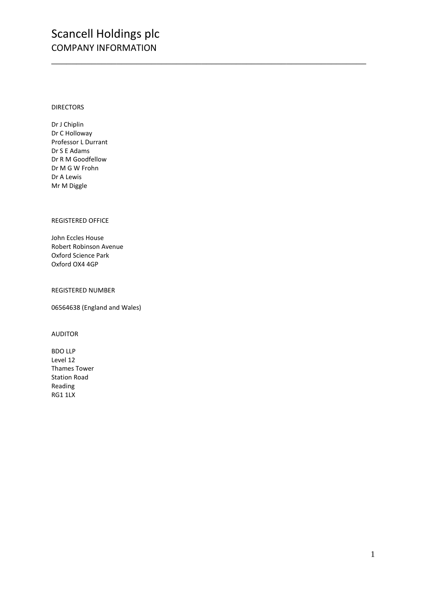## Scancell Holdings plc COMPANY INFORMATION

\_\_\_\_\_\_\_\_\_\_\_\_\_\_\_\_\_\_\_\_\_\_\_\_\_\_\_\_\_\_\_\_\_\_\_\_\_\_\_\_\_\_\_\_\_\_\_\_\_\_\_\_\_\_\_\_\_\_\_\_\_\_\_

### DIRECTORS

Dr J Chiplin Dr C Holloway Professor L Durrant Dr S E Adams Dr R M Goodfellow Dr M G W Frohn Dr A Lewis Mr M Diggle

### REGISTERED OFFICE

John Eccles House Robert Robinson Avenue Oxford Science Park Oxford OX4 4GP

### REGISTERED NUMBER

06564638 (England and Wales)

### AUDITOR

BDO LLP Level 12 Thames Tower Station Road Reading RG1 1LX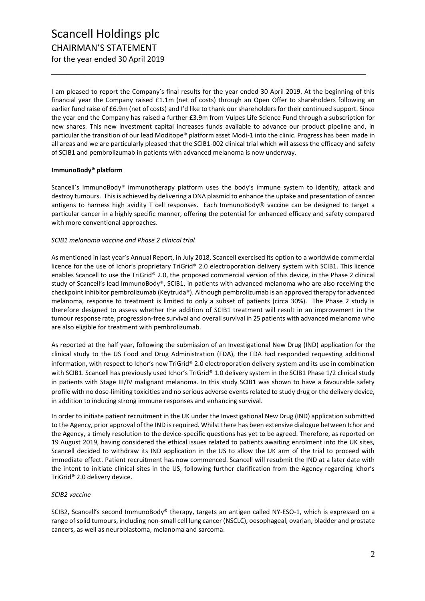I am pleased to report the Company's final results for the year ended 30 April 2019. At the beginning of this financial year the Company raised £1.1m (net of costs) through an Open Offer to shareholders following an earlier fund raise of £6.9m (net of costs) and I'd like to thank our shareholders for their continued support. Since the year end the Company has raised a further £3.9m from Vulpes Life Science Fund through a subscription for new shares. This new investment capital increases funds available to advance our product pipeline and, in particular the transition of our lead Moditope® platform asset Modi-1 into the clinic. Progress has been made in all areas and we are particularly pleased that the SCIB1-002 clinical trial which will assess the efficacy and safety of SCIB1 and pembrolizumab in patients with advanced melanoma is now underway.

\_\_\_\_\_\_\_\_\_\_\_\_\_\_\_\_\_\_\_\_\_\_\_\_\_\_\_\_\_\_\_\_\_\_\_\_\_\_\_\_\_\_\_\_\_\_\_\_\_\_\_\_\_\_\_\_\_\_\_\_\_\_\_

### **ImmunoBody® platform**

Scancell's ImmunoBody® immunotherapy platform uses the body's immune system to identify, attack and destroy tumours. This is achieved by delivering a DNA plasmid to enhance the uptake and presentation of cancer antigens to harness high avidity T cell responses. Each ImmunoBody® vaccine can be designed to target a particular cancer in a highly specific manner, offering the potential for enhanced efficacy and safety compared with more conventional approaches.

### *SCIB1 melanoma vaccine and Phase 2 clinical trial*

As mentioned in last year's Annual Report, in July 2018, Scancell exercised its option to a worldwide commercial licence for the use of Ichor's proprietary TriGrid® 2.0 electroporation delivery system with SCIB1. This licence enables Scancell to use the TriGrid® 2.0, the proposed commercial version of this device, in the Phase 2 clinical study of Scancell's lead ImmunoBody®, SCIB1, in patients with advanced melanoma who are also receiving the checkpoint inhibitor pembrolizumab (Keytruda®). Although pembrolizumab is an approved therapy for advanced melanoma, response to treatment is limited to only a subset of patients (circa 30%). The Phase 2 study is therefore designed to assess whether the addition of SCIB1 treatment will result in an improvement in the tumour response rate, progression-free survival and overall survival in 25 patients with advanced melanoma who are also eligible for treatment with pembrolizumab.

As reported at the half year, following the submission of an Investigational New Drug (IND) application for the clinical study to the US Food and Drug Administration (FDA), the FDA had responded requesting additional information, with respect to Ichor's new TriGrid® 2.0 electroporation delivery system and its use in combination with SCIB1. Scancell has previously used Ichor's TriGrid® 1.0 delivery system in the SCIB1 Phase 1/2 clinical study in patients with Stage III/IV malignant melanoma. In this study SCIB1 was shown to have a favourable safety profile with no dose-limiting toxicities and no serious adverse events related to study drug or the delivery device, in addition to inducing strong immune responses and enhancing survival.

In order to initiate patient recruitment in the UK under the Investigational New Drug (IND) application submitted to the Agency, prior approval of the IND is required. Whilst there has been extensive dialogue between Ichor and the Agency, a timely resolution to the device-specific questions has yet to be agreed. Therefore, as reported on 19 August 2019, having considered the ethical issues related to patients awaiting enrolment into the UK sites, Scancell decided to withdraw its IND application in the US to allow the UK arm of the trial to proceed with immediate effect. Patient recruitment has now commenced. Scancell will resubmit the IND at a later date with the intent to initiate clinical sites in the US, following further clarification from the Agency regarding Ichor's TriGrid® 2.0 delivery device.

### *SCIB2 vaccine*

SCIB2, Scancell's second ImmunoBody® therapy, targets an antigen called NY-ESO-1, which is expressed on a range of solid tumours, including non-small cell lung cancer (NSCLC), oesophageal, ovarian, bladder and prostate cancers, as well as neuroblastoma, melanoma and sarcoma.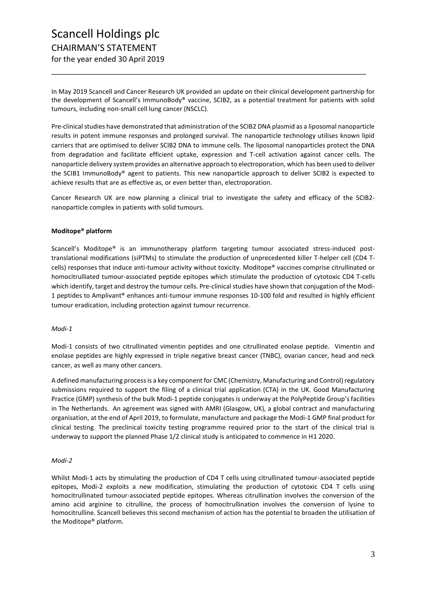In May 2019 Scancell and Cancer Research UK provided an update on their clinical development partnership for the development of Scancell's ImmunoBody® vaccine, SCIB2, as a potential treatment for patients with solid tumours, including non-small cell lung cancer (NSCLC).

\_\_\_\_\_\_\_\_\_\_\_\_\_\_\_\_\_\_\_\_\_\_\_\_\_\_\_\_\_\_\_\_\_\_\_\_\_\_\_\_\_\_\_\_\_\_\_\_\_\_\_\_\_\_\_\_\_\_\_\_\_\_\_

Pre-clinical studies have demonstrated that administration of the SCIB2 DNA plasmid as a liposomal nanoparticle results in potent immune responses and prolonged survival. The nanoparticle technology utilises known lipid carriers that are optimised to deliver SCIB2 DNA to immune cells. The liposomal nanoparticles protect the DNA from degradation and facilitate efficient uptake, expression and T-cell activation against cancer cells. The nanoparticle delivery system provides an alternative approach to electroporation, which has been used to deliver the SCIB1 ImmunoBody<sup>®</sup> agent to patients. This new nanoparticle approach to deliver SCIB2 is expected to achieve results that are as effective as, or even better than, electroporation.

Cancer Research UK are now planning a clinical trial to investigate the safety and efficacy of the SCIB2 nanoparticle complex in patients with solid tumours.

### **Moditope® platform**

Scancell's Moditope® is an immunotherapy platform targeting tumour associated stress-induced posttranslational modifications (siPTMs) to stimulate the production of unprecedented killer T-helper cell (CD4 Tcells) responses that induce anti-tumour activity without toxicity. Moditope® vaccines comprise citrullinated or homocitrulliated tumour-associated peptide epitopes which stimulate the production of cytotoxic CD4 T-cells which identify, target and destroy the tumour cells. Pre-clinical studies have shown that conjugation of the Modi-1 peptides to Amplivant® enhances anti-tumour immune responses 10-100 fold and resulted in highly efficient tumour eradication, including protection against tumour recurrence.

### *Modi-1*

Modi-1 consists of two citrullinated vimentin peptides and one citrullinated enolase peptide. Vimentin and enolase peptides are highly expressed in triple negative breast cancer (TNBC), ovarian cancer, head and neck cancer, as well as many other cancers.

A defined manufacturing process is a key component for CMC (Chemistry, Manufacturing and Control) regulatory submissions required to support the filing of a clinical trial application (CTA) in the UK. Good Manufacturing Practice (GMP) synthesis of the bulk Modi-1 peptide conjugates is underway at the PolyPeptide Group's facilities in The Netherlands. An agreement was signed with AMRI (Glasgow, UK), a global contract and manufacturing organisation, at the end of April 2019, to formulate, manufacture and package the Modi-1 GMP final product for clinical testing. The preclinical toxicity testing programme required prior to the start of the clinical trial is underway to support the planned Phase 1/2 clinical study is anticipated to commence in H1 2020.

### *Modi-2*

Whilst Modi-1 acts by stimulating the production of CD4 T cells using citrullinated tumour-associated peptide epitopes, Modi-2 exploits a new modification, stimulating the production of cytotoxic CD4 T cells using homocitrullinated tumour-associated peptide epitopes. Whereas citrullination involves the conversion of the amino acid arginine to citrulline, the process of homocitrullination involves the conversion of lysine to homocitrulline. Scancell believes this second mechanism of action has the potential to broaden the utilisation of the Moditope® platform.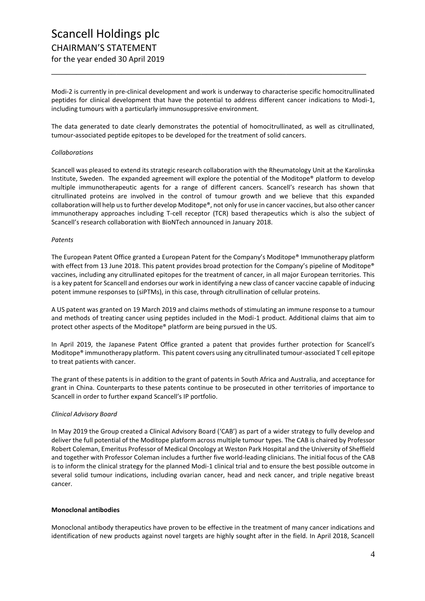Modi-2 is currently in pre-clinical development and work is underway to characterise specific homocitrullinated peptides for clinical development that have the potential to address different cancer indications to Modi-1, including tumours with a particularly immunosuppressive environment.

\_\_\_\_\_\_\_\_\_\_\_\_\_\_\_\_\_\_\_\_\_\_\_\_\_\_\_\_\_\_\_\_\_\_\_\_\_\_\_\_\_\_\_\_\_\_\_\_\_\_\_\_\_\_\_\_\_\_\_\_\_\_\_

The data generated to date clearly demonstrates the potential of homocitrullinated, as well as citrullinated, tumour-associated peptide epitopes to be developed for the treatment of solid cancers.

### *Collaborations*

Scancell was pleased to extend its strategic research collaboration with the Rheumatology Unit at the Karolinska Institute, Sweden. The expanded agreement will explore the potential of the Moditope® platform to develop multiple immunotherapeutic agents for a range of different cancers. Scancell's research has shown that citrullinated proteins are involved in the control of tumour growth and we believe that this expanded collaboration will help us to further develop Moditope®, not only for use in cancer vaccines, but also other cancer immunotherapy approaches including T-cell receptor (TCR) based therapeutics which is also the subject of Scancell's research collaboration with BioNTech announced in January 2018.

### *Patents*

The European Patent Office granted a European Patent for the Company's Moditope® Immunotherapy platform with effect from 13 June 2018. This patent provides broad protection for the Company's pipeline of Moditope® vaccines, including any citrullinated epitopes for the treatment of cancer, in all major European territories. This is a key patent for Scancell and endorses our work in identifying a new class of cancer vaccine capable of inducing potent immune responses to (siPTMs), in this case, through citrullination of cellular proteins.

A US patent was granted on 19 March 2019 and claims methods of stimulating an immune response to a tumour and methods of treating cancer using peptides included in the Modi-1 product. Additional claims that aim to protect other aspects of the Moditope® platform are being pursued in the US.

In April 2019, the Japanese Patent Office granted a patent that provides further protection for Scancell's Moditope® immunotherapy platform. This patent covers using any citrullinated tumour-associated T cell epitope to treat patients with cancer.

The grant of these patents is in addition to the grant of patents in South Africa and Australia, and acceptance for grant in China. Counterparts to these patents continue to be prosecuted in other territories of importance to Scancell in order to further expand Scancell's IP portfolio.

### *Clinical Advisory Board*

In May 2019 the Group created a Clinical Advisory Board ('CAB') as part of a wider strategy to fully develop and deliver the full potential of the Moditope platform across multiple tumour types. The CAB is chaired by Professor Robert Coleman, Emeritus Professor of Medical Oncology at Weston Park Hospital and the University of Sheffield and together with Professor Coleman includes a further five world-leading clinicians. The initial focus of the CAB is to inform the clinical strategy for the planned Modi-1 clinical trial and to ensure the best possible outcome in several solid tumour indications, including ovarian cancer, head and neck cancer, and triple negative breast cancer.

### **Monoclonal antibodies**

Monoclonal antibody therapeutics have proven to be effective in the treatment of many cancer indications and identification of new products against novel targets are highly sought after in the field. In April 2018, Scancell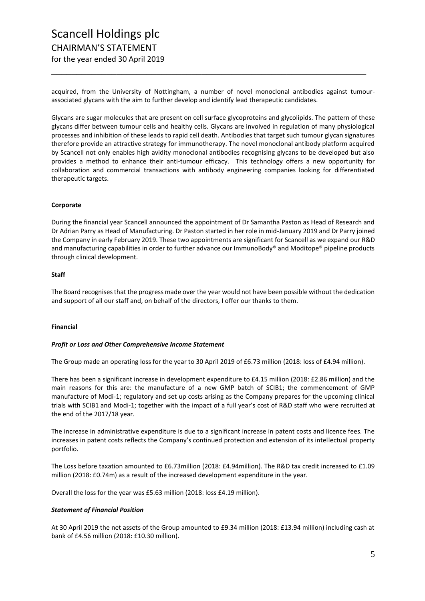acquired, from the University of Nottingham, a number of novel monoclonal antibodies against tumourassociated glycans with the aim to further develop and identify lead therapeutic candidates.

\_\_\_\_\_\_\_\_\_\_\_\_\_\_\_\_\_\_\_\_\_\_\_\_\_\_\_\_\_\_\_\_\_\_\_\_\_\_\_\_\_\_\_\_\_\_\_\_\_\_\_\_\_\_\_\_\_\_\_\_\_\_\_

Glycans are sugar molecules that are present on cell surface glycoproteins and glycolipids. The pattern of these glycans differ between tumour cells and healthy cells. Glycans are involved in regulation of many physiological processes and inhibition of these leads to rapid cell death. Antibodies that target such tumour glycan signatures therefore provide an attractive strategy for immunotherapy. The novel monoclonal antibody platform acquired by Scancell not only enables high avidity monoclonal antibodies recognising glycans to be developed but also provides a method to enhance their anti-tumour efficacy. This technology offers a new opportunity for collaboration and commercial transactions with antibody engineering companies looking for differentiated therapeutic targets.

### **Corporate**

During the financial year Scancell announced the appointment of Dr Samantha Paston as Head of Research and Dr Adrian Parry as Head of Manufacturing. Dr Paston started in her role in mid-January 2019 and Dr Parry joined the Company in early February 2019. These two appointments are significant for Scancell as we expand our R&D and manufacturing capabilities in order to further advance our ImmunoBody® and Moditope® pipeline products through clinical development.

### **Staff**

The Board recognises that the progress made over the year would not have been possible without the dedication and support of all our staff and, on behalf of the directors, I offer our thanks to them.

### **Financial**

### *Profit or Loss and Other Comprehensive Income Statement*

The Group made an operating loss for the year to 30 April 2019 of £6.73 million (2018: loss of £4.94 million).

There has been a significant increase in development expenditure to £4.15 million (2018: £2.86 million) and the main reasons for this are: the manufacture of a new GMP batch of SCIB1; the commencement of GMP manufacture of Modi-1; regulatory and set up costs arising as the Company prepares for the upcoming clinical trials with SCIB1 and Modi-1; together with the impact of a full year's cost of R&D staff who were recruited at the end of the 2017/18 year.

The increase in administrative expenditure is due to a significant increase in patent costs and licence fees. The increases in patent costs reflects the Company's continued protection and extension of its intellectual property portfolio.

The Loss before taxation amounted to £6.73million (2018: £4.94million). The R&D tax credit increased to £1.09 million (2018: £0.74m) as a result of the increased development expenditure in the year.

Overall the loss for the year was £5.63 million (2018: loss £4.19 million).

### *Statement of Financial Position*

At 30 April 2019 the net assets of the Group amounted to £9.34 million (2018: £13.94 million) including cash at bank of £4.56 million (2018: £10.30 million).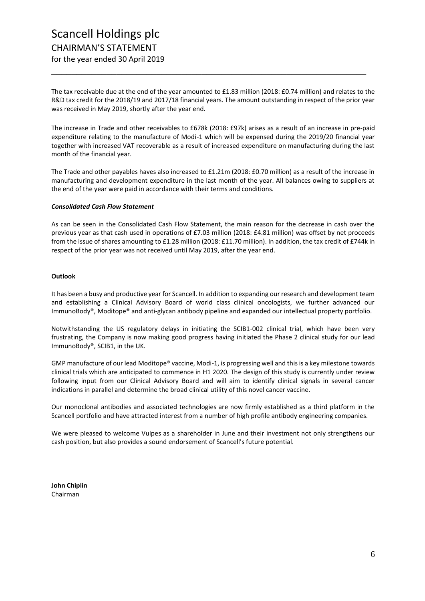The tax receivable due at the end of the year amounted to £1.83 million (2018: £0.74 million) and relates to the R&D tax credit for the 2018/19 and 2017/18 financial years. The amount outstanding in respect of the prior year was received in May 2019, shortly after the year end.

\_\_\_\_\_\_\_\_\_\_\_\_\_\_\_\_\_\_\_\_\_\_\_\_\_\_\_\_\_\_\_\_\_\_\_\_\_\_\_\_\_\_\_\_\_\_\_\_\_\_\_\_\_\_\_\_\_\_\_\_\_\_\_

The increase in Trade and other receivables to £678k (2018: £97k) arises as a result of an increase in pre-paid expenditure relating to the manufacture of Modi-1 which will be expensed during the 2019/20 financial year together with increased VAT recoverable as a result of increased expenditure on manufacturing during the last month of the financial year.

The Trade and other payables haves also increased to £1.21m (2018: £0.70 million) as a result of the increase in manufacturing and development expenditure in the last month of the year. All balances owing to suppliers at the end of the year were paid in accordance with their terms and conditions.

### *Consolidated Cash Flow Statement*

As can be seen in the Consolidated Cash Flow Statement, the main reason for the decrease in cash over the previous year as that cash used in operations of £7.03 million (2018: £4.81 million) was offset by net proceeds from the issue of shares amounting to £1.28 million (2018: £11.70 million). In addition, the tax credit of £744k in respect of the prior year was not received until May 2019, after the year end.

### **Outlook**

It has been a busy and productive year for Scancell. In addition to expanding our research and development team and establishing a Clinical Advisory Board of world class clinical oncologists, we further advanced our ImmunoBody®, Moditope® and anti-glycan antibody pipeline and expanded our intellectual property portfolio.

Notwithstanding the US regulatory delays in initiating the SCIB1-002 clinical trial, which have been very frustrating, the Company is now making good progress having initiated the Phase 2 clinical study for our lead ImmunoBody®, SCIB1, in the UK.

GMP manufacture of our lead Moditope® vaccine, Modi-1, is progressing well and this is a key milestone towards clinical trials which are anticipated to commence in H1 2020. The design of this study is currently under review following input from our Clinical Advisory Board and will aim to identify clinical signals in several cancer indications in parallel and determine the broad clinical utility of this novel cancer vaccine.

Our monoclonal antibodies and associated technologies are now firmly established as a third platform in the Scancell portfolio and have attracted interest from a number of high profile antibody engineering companies.

We were pleased to welcome Vulpes as a shareholder in June and their investment not only strengthens our cash position, but also provides a sound endorsement of Scancell's future potential.

**John Chiplin** Chairman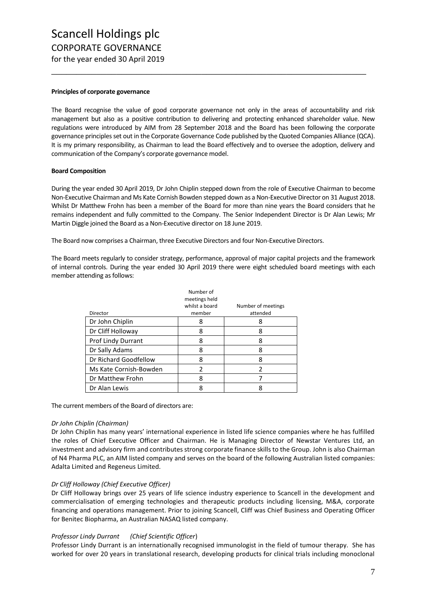# Scancell Holdings plc CORPORATE GOVERNANCE

for the year ended 30 April 2019

### **Principles of corporate governance**

The Board recognise the value of good corporate governance not only in the areas of accountability and risk management but also as a positive contribution to delivering and protecting enhanced shareholder value. New regulations were introduced by AIM from 28 September 2018 and the Board has been following the corporate governance principles set out in the Corporate Governance Code published by the Quoted Companies Alliance (QCA). It is my primary responsibility, as Chairman to lead the Board effectively and to oversee the adoption, delivery and communication of the Company's corporate governance model.

\_\_\_\_\_\_\_\_\_\_\_\_\_\_\_\_\_\_\_\_\_\_\_\_\_\_\_\_\_\_\_\_\_\_\_\_\_\_\_\_\_\_\_\_\_\_\_\_\_\_\_\_\_\_\_\_\_\_\_\_\_\_\_

### **Board Composition**

During the year ended 30 April 2019, Dr John Chiplin stepped down from the role of Executive Chairman to become Non-Executive Chairman and Ms Kate Cornish Bowden stepped down as a Non-Executive Director on 31 August 2018. Whilst Dr Matthew Frohn has been a member of the Board for more than nine years the Board considers that he remains independent and fully committed to the Company. The Senior Independent Director is Dr Alan Lewis; Mr Martin Diggle joined the Board as a Non-Executive director on 18 June 2019.

The Board now comprises a Chairman, three Executive Directors and four Non-Executive Directors.

The Board meets regularly to consider strategy, performance, approval of major capital projects and the framework of internal controls. During the year ended 30 April 2019 there were eight scheduled board meetings with each member attending as follows:

| Director               | Number of<br>meetings held<br>whilst a board<br>member | Number of meetings<br>attended |
|------------------------|--------------------------------------------------------|--------------------------------|
| Dr John Chiplin        | 8                                                      | 8                              |
| Dr Cliff Holloway      | 8                                                      | 8                              |
| Prof Lindy Durrant     | 8                                                      | 8                              |
| Dr Sally Adams         | 8                                                      | 8                              |
| Dr Richard Goodfellow  | 8                                                      | 8                              |
| Ms Kate Cornish-Bowden | 2                                                      | 2                              |
| Dr Matthew Frohn       | 8                                                      |                                |
| Dr Alan Lewis          |                                                        |                                |

The current members of the Board of directors are:

### *Dr John Chiplin (Chairman)*

Dr John Chiplin has many years' international experience in listed life science companies where he has fulfilled the roles of Chief Executive Officer and Chairman. He is Managing Director of Newstar Ventures Ltd, an investment and advisory firm and contributes strong corporate finance skills to the Group. John is also Chairman of N4 Pharma PLC, an AIM listed company and serves on the board of the following Australian listed companies: Adalta Limited and Regeneus Limited.

### *Dr Cliff Holloway (Chief Executive Officer)*

Dr Cliff Holloway brings over 25 years of life science industry experience to Scancell in the development and commercialisation of emerging technologies and therapeutic products including licensing, M&A, corporate financing and operations management. Prior to joining Scancell, Cliff was Chief Business and Operating Officer for Benitec Biopharma, an Australian NASAQ listed company.

### *Professor Lindy Durrant (Chief Scientific Officer*)

Professor Lindy Durrant is an internationally recognised immunologist in the field of tumour therapy. She has worked for over 20 years in translational research, developing products for clinical trials including monoclonal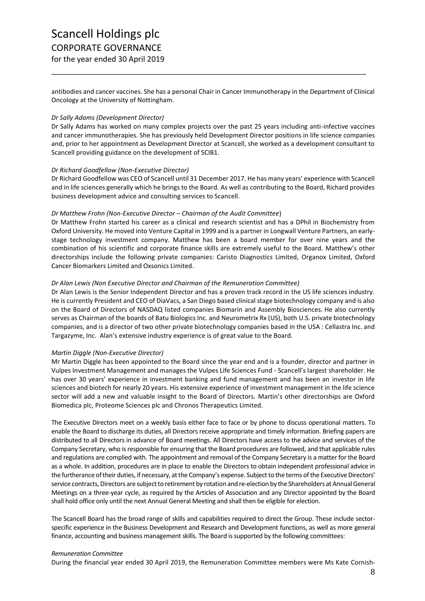## Scancell Holdings plc CORPORATE GOVERNANCE for the year ended 30 April 2019

\_\_\_\_\_\_\_\_\_\_\_\_\_\_\_\_\_\_\_\_\_\_\_\_\_\_\_\_\_\_\_\_\_\_\_\_\_\_\_\_\_\_\_\_\_\_\_\_\_\_\_\_\_\_\_\_\_\_\_\_\_\_\_

antibodies and cancer vaccines. She has a personal Chair in Cancer Immunotherapy in the Department of Clinical Oncology at the University of Nottingham.

### *Dr Sally Adams (Development Director)*

Dr Sally Adams has worked on many complex projects over the past 25 years including anti-infective vaccines and cancer immunotherapies. She has previously held Development Director positions in life science companies and, prior to her appointment as Development Director at Scancell, she worked as a development consultant to Scancell providing guidance on the development of SCIB1.

### *Dr Richard Goodfellow (Non-Executive Director)*

Dr Richard Goodfellow was CEO of Scancell until 31 December 2017. He has many years' experience with Scancell and in life sciences generally which he brings to the Board. As well as contributing to the Board, Richard provides business development advice and consulting services to Scancell.

### *Dr Matthew Frohn (Non-Executive Director – Chairman of the Audit Committee*)

Dr Matthew Frohn started his career as a clinical and research scientist and has a DPhil in Biochemistry from Oxford University. He moved into Venture Capital in 1999 and is a partner in Longwall Venture Partners, an earlystage technology investment company. Matthew has been a board member for over nine years and the combination of his scientific and corporate finance skills are extremely useful to the Board. Matthew's other directorships include the following private companies: Caristo Diagnostics Limited, Organox Limited, Oxford Cancer Biomarkers Limited and Oxsonics Limited.

### *Dr Alan Lewis (Non Executive Director and Chairman of the Remuneration Committee)*

Dr Alan Lewis is the Senior Independent Director and has a proven track record in the US life sciences industry. He is currently President and CEO of DiaVacs, a San Diego based clinical stage biotechnology company and is also on the Board of Directors of NASDAQ listed companies Biomarin and Assembly Biosciences. He also currently serves as Chairman of the boards of Batu Biologics Inc. and Neurometrix Rx (US), both U.S. private biotechnology companies, and is a director of two other private biotechnology companies based in the USA : Cellastra Inc. and Targazyme, Inc. Alan's extensive industry experience is of great value to the Board.

### *Martin Diggle (Non-Executive Director)*

Mr Martin Diggle has been appointed to the Board since the year end and is a founder, director and partner in Vulpes Investment Management and manages the Vulpes Life Sciences Fund - Scancell's largest shareholder. He has over 30 years' experience in investment banking and fund management and has been an investor in life sciences and biotech for nearly 20 years. His extensive experience of investment management in the life science sector will add a new and valuable insight to the Board of Directors. Martin's other directorships are Oxford Biomedica plc, Proteome Sciences plc and Chronos Therapeutics Limited.

The Executive Directors meet on a weekly basis either face to face or by phone to discuss operational matters. To enable the Board to discharge its duties, all Directors receive appropriate and timely information. Briefing papers are distributed to all Directors in advance of Board meetings. All Directors have access to the advice and services of the Company Secretary, who is responsible for ensuring that the Board procedures are followed, and that applicable rules and regulations are complied with. The appointment and removal of the Company Secretary is a matter for the Board as a whole. In addition, procedures are in place to enable the Directors to obtain independent professional advice in the furtherance of their duties, if necessary, at the Company's expense. Subject to the terms of the Executive Directors' service contracts, Directors are subject to retirement by rotation and re-election by the Shareholders at Annual General Meetings on a three-year cycle, as required by the Articles of Association and any Director appointed by the Board shall hold office only until the next Annual General Meeting and shall then be eligible for election.

The Scancell Board has the broad range of skills and capabilities required to direct the Group. These include sectorspecific experience in the Business Development and Research and Development functions, as well as more general finance, accounting and business management skills. The Board is supported by the following committees:

### *Remuneration Committee*

During the financial year ended 30 April 2019, the Remuneration Committee members were Ms Kate Cornish-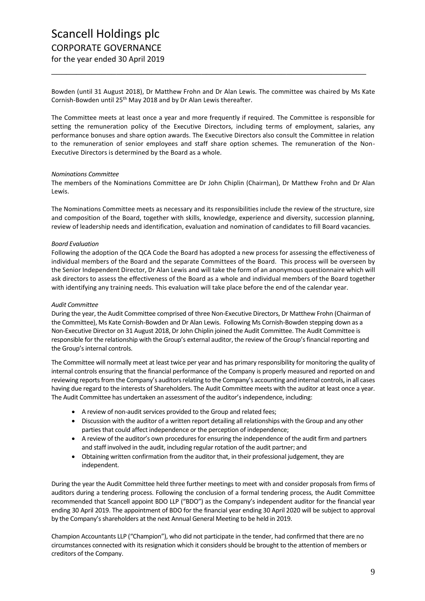Bowden (until 31 August 2018), Dr Matthew Frohn and Dr Alan Lewis. The committee was chaired by Ms Kate Cornish-Bowden until 25th May 2018 and by Dr Alan Lewis thereafter.

\_\_\_\_\_\_\_\_\_\_\_\_\_\_\_\_\_\_\_\_\_\_\_\_\_\_\_\_\_\_\_\_\_\_\_\_\_\_\_\_\_\_\_\_\_\_\_\_\_\_\_\_\_\_\_\_\_\_\_\_\_\_\_

The Committee meets at least once a year and more frequently if required. The Committee is responsible for setting the remuneration policy of the Executive Directors, including terms of employment, salaries, any performance bonuses and share option awards. The Executive Directors also consult the Committee in relation to the remuneration of senior employees and staff share option schemes. The remuneration of the Non-Executive Directors is determined by the Board as a whole.

### *Nominations Committee*

The members of the Nominations Committee are Dr John Chiplin (Chairman), Dr Matthew Frohn and Dr Alan Lewis.

The Nominations Committee meets as necessary and its responsibilities include the review of the structure, size and composition of the Board, together with skills, knowledge, experience and diversity, succession planning, review of leadership needs and identification, evaluation and nomination of candidates to fill Board vacancies.

### *Board Evaluation*

Following the adoption of the QCA Code the Board has adopted a new process for assessing the effectiveness of individual members of the Board and the separate Committees of the Board. This process will be overseen by the Senior Independent Director, Dr Alan Lewis and will take the form of an anonymous questionnaire which will ask directors to assess the effectiveness of the Board as a whole and individual members of the Board together with identifying any training needs. This evaluation will take place before the end of the calendar year.

### *Audit Committee*

During the year, the Audit Committee comprised of three Non-Executive Directors, Dr Matthew Frohn (Chairman of the Committee), Ms Kate Cornish-Bowden and Dr Alan Lewis. Following Ms Cornish-Bowden stepping down as a Non-Executive Director on 31 August 2018, Dr John Chiplin joined the Audit Committee. The Audit Committee is responsible for the relationship with the Group's external auditor, the review of the Group's financial reporting and the Group's internal controls.

The Committee will normally meet at least twice per year and has primary responsibility for monitoring the quality of internal controls ensuring that the financial performance of the Company is properly measured and reported on and reviewing reports from the Company's auditors relating to the Company's accounting and internal controls, in all cases having due regard to the interests of Shareholders. The Audit Committee meets with the auditor at least once a year. The Audit Committee has undertaken an assessment of the auditor's independence, including:

- A review of non-audit services provided to the Group and related fees;
- Discussion with the auditor of a written report detailing all relationships with the Group and any other parties that could affect independence or the perception of independence;
- A review of the auditor's own procedures for ensuring the independence of the audit firm and partners and staff involved in the audit, including regular rotation of the audit partner; and
- Obtaining written confirmation from the auditor that, in their professional judgement, they are independent.

During the year the Audit Committee held three further meetings to meet with and consider proposals from firms of auditors during a tendering process. Following the conclusion of a formal tendering process, the Audit Committee recommended that Scancell appoint BDO LLP ("BDO") as the Company's independent auditor for the financial year ending 30 April 2019. The appointment of BDO for the financial year ending 30 April 2020 will be subject to approval by the Company's shareholders at the next Annual General Meeting to be held in 2019.

Champion Accountants LLP ("Champion"), who did not participate in the tender, had confirmed that there are no circumstances connected with its resignation which it considers should be brought to the attention of members or creditors of the Company.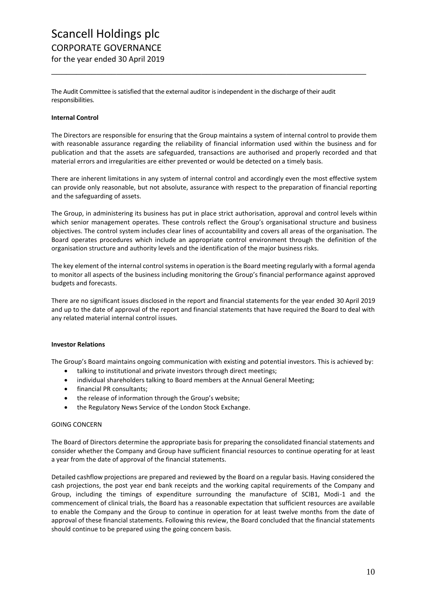The Audit Committee is satisfied that the external auditor is independent in the discharge of their audit responsibilities.

\_\_\_\_\_\_\_\_\_\_\_\_\_\_\_\_\_\_\_\_\_\_\_\_\_\_\_\_\_\_\_\_\_\_\_\_\_\_\_\_\_\_\_\_\_\_\_\_\_\_\_\_\_\_\_\_\_\_\_\_\_\_\_

### **Internal Control**

The Directors are responsible for ensuring that the Group maintains a system of internal control to provide them with reasonable assurance regarding the reliability of financial information used within the business and for publication and that the assets are safeguarded, transactions are authorised and properly recorded and that material errors and irregularities are either prevented or would be detected on a timely basis.

There are inherent limitations in any system of internal control and accordingly even the most effective system can provide only reasonable, but not absolute, assurance with respect to the preparation of financial reporting and the safeguarding of assets.

The Group, in administering its business has put in place strict authorisation, approval and control levels within which senior management operates. These controls reflect the Group's organisational structure and business objectives. The control system includes clear lines of accountability and covers all areas of the organisation. The Board operates procedures which include an appropriate control environment through the definition of the organisation structure and authority levels and the identification of the major business risks.

The key element of the internal control systems in operation is the Board meeting regularly with a formal agenda to monitor all aspects of the business including monitoring the Group's financial performance against approved budgets and forecasts.

There are no significant issues disclosed in the report and financial statements for the year ended 30 April 2019 and up to the date of approval of the report and financial statements that have required the Board to deal with any related material internal control issues.

### **Investor Relations**

The Group's Board maintains ongoing communication with existing and potential investors. This is achieved by:

- talking to institutional and private investors through direct meetings;
- individual shareholders talking to Board members at the Annual General Meeting;
- financial PR consultants;
- the release of information through the Group's website;
- the Regulatory News Service of the London Stock Exchange.

### GOING CONCERN

The Board of Directors determine the appropriate basis for preparing the consolidated financial statements and consider whether the Company and Group have sufficient financial resources to continue operating for at least a year from the date of approval of the financial statements.

Detailed cashflow projections are prepared and reviewed by the Board on a regular basis. Having considered the cash projections, the post year end bank receipts and the working capital requirements of the Company and Group, including the timings of expenditure surrounding the manufacture of SCIB1, Modi-1 and the commencement of clinical trials, the Board has a reasonable expectation that sufficient resources are available to enable the Company and the Group to continue in operation for at least twelve months from the date of approval of these financial statements. Following this review, the Board concluded that the financial statements should continue to be prepared using the going concern basis.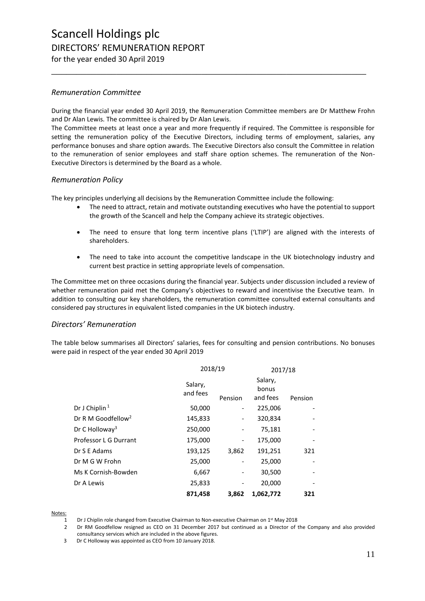## Scancell Holdings plc DIRECTORS' REMUNERATION REPORT for the year ended 30 April 2019

\_\_\_\_\_\_\_\_\_\_\_\_\_\_\_\_\_\_\_\_\_\_\_\_\_\_\_\_\_\_\_\_\_\_\_\_\_\_\_\_\_\_\_\_\_\_\_\_\_\_\_\_\_\_\_\_\_\_\_\_\_\_\_

### *Remuneration Committee*

During the financial year ended 30 April 2019, the Remuneration Committee members are Dr Matthew Frohn and Dr Alan Lewis. The committee is chaired by Dr Alan Lewis.

The Committee meets at least once a year and more frequently if required. The Committee is responsible for setting the remuneration policy of the Executive Directors, including terms of employment, salaries, any performance bonuses and share option awards. The Executive Directors also consult the Committee in relation to the remuneration of senior employees and staff share option schemes. The remuneration of the Non-Executive Directors is determined by the Board as a whole.

### *Remuneration Policy*

The key principles underlying all decisions by the Remuneration Committee include the following:

- The need to attract, retain and motivate outstanding executives who have the potential to support the growth of the Scancell and help the Company achieve its strategic objectives.
- The need to ensure that long term incentive plans ('LTIP') are aligned with the interests of shareholders.
- The need to take into account the competitive landscape in the UK biotechnology industry and current best practice in setting appropriate levels of compensation.

The Committee met on three occasions during the financial year. Subjects under discussion included a review of whether remuneration paid met the Company's objectives to reward and incentivise the Executive team. In addition to consulting our key shareholders, the remuneration committee consulted external consultants and considered pay structures in equivalent listed companies in the UK biotech industry.

### *Directors' Remuneration*

The table below summarises all Directors' salaries, fees for consulting and pension contributions. No bonuses were paid in respect of the year ended 30 April 2019

|                                | 2018/19             |         | 2017/18                      |         |  |
|--------------------------------|---------------------|---------|------------------------------|---------|--|
|                                | Salary,<br>and fees | Pension | Salary,<br>bonus<br>and fees | Pension |  |
| Dr J Chiplin $1$               | 50,000              | -       | 225,006                      |         |  |
| Dr R M Goodfellow <sup>2</sup> | 145,833             |         | 320,834                      |         |  |
| Dr C Holloway <sup>3</sup>     | 250,000             |         | 75,181                       |         |  |
| Professor L G Durrant          | 175,000             |         | 175,000                      |         |  |
| Dr S E Adams                   | 193,125             | 3,862   | 191,251                      | 321     |  |
| Dr M G W Frohn                 | 25,000              |         | 25,000                       |         |  |
| Ms K Cornish-Bowden            | 6,667               |         | 30,500                       |         |  |
| Dr A Lewis                     | 25,833              |         | 20,000                       |         |  |
|                                | 871,458             | 3,862   | 1,062,772                    | 321     |  |

Notes:

1 Dr J Chiplin role changed from Executive Chairman to Non-executive Chairman on 1<sup>st</sup> May 2018

2 Dr RM Goodfellow resigned as CEO on 31 December 2017 but continued as a Director of the Company and also provided consultancy services which are included in the above figures.

3 Dr C Holloway was appointed as CEO from 10 January 2018.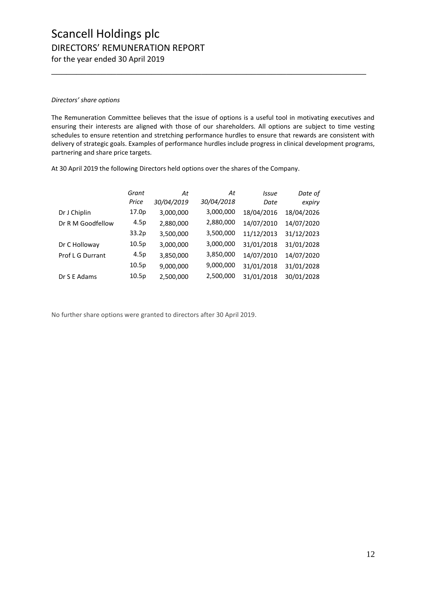## Scancell Holdings plc DIRECTORS' REMUNERATION REPORT for the year ended 30 April 2019

\_\_\_\_\_\_\_\_\_\_\_\_\_\_\_\_\_\_\_\_\_\_\_\_\_\_\_\_\_\_\_\_\_\_\_\_\_\_\_\_\_\_\_\_\_\_\_\_\_\_\_\_\_\_\_\_\_\_\_\_\_\_\_

### *Directors' share options*

The Remuneration Committee believes that the issue of options is a useful tool in motivating executives and ensuring their interests are aligned with those of our shareholders. All options are subject to time vesting schedules to ensure retention and stretching performance hurdles to ensure that rewards are consistent with delivery of strategic goals. Examples of performance hurdles include progress in clinical development programs, partnering and share price targets.

At 30 April 2019 the following Directors held options over the shares of the Company.

|                   | Grant | At         | At         | Issue      | Date of    |
|-------------------|-------|------------|------------|------------|------------|
|                   | Price | 30/04/2019 | 30/04/2018 | Date       | expiry     |
| Dr J Chiplin      | 17.0p | 3,000,000  | 3,000,000  | 18/04/2016 | 18/04/2026 |
| Dr R M Goodfellow | 4.5p  | 2,880,000  | 2,880,000  | 14/07/2010 | 14/07/2020 |
|                   | 33.2p | 3,500,000  | 3,500,000  | 11/12/2013 | 31/12/2023 |
| Dr C Holloway     | 10.5p | 3,000,000  | 3,000,000  | 31/01/2018 | 31/01/2028 |
| Prof L G Durrant  | 4.5p  | 3,850,000  | 3,850,000  | 14/07/2010 | 14/07/2020 |
|                   | 10.5p | 9,000,000  | 9,000,000  | 31/01/2018 | 31/01/2028 |
| Dr S E Adams      | 10.5p | 2,500,000  | 2,500,000  | 31/01/2018 | 30/01/2028 |

No further share options were granted to directors after 30 April 2019.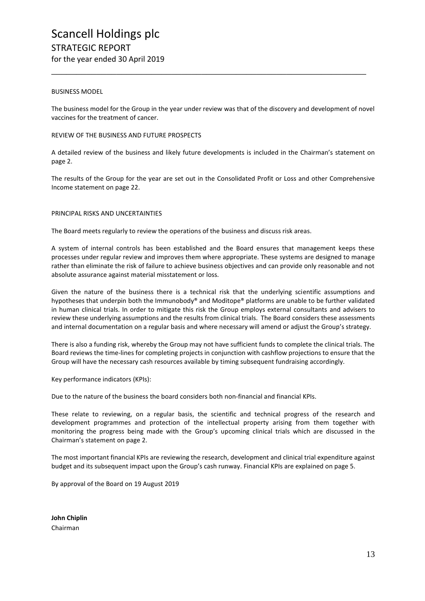### BUSINESS MODEL

The business model for the Group in the year under review was that of the discovery and development of novel vaccines for the treatment of cancer.

\_\_\_\_\_\_\_\_\_\_\_\_\_\_\_\_\_\_\_\_\_\_\_\_\_\_\_\_\_\_\_\_\_\_\_\_\_\_\_\_\_\_\_\_\_\_\_\_\_\_\_\_\_\_\_\_\_\_\_\_\_\_\_

### REVIEW OF THE BUSINESS AND FUTURE PROSPECTS

A detailed review of the business and likely future developments is included in the Chairman's statement on page 2.

The results of the Group for the year are set out in the Consolidated Profit or Loss and other Comprehensive Income statement on page 22.

### PRINCIPAL RISKS AND UNCERTAINTIES

The Board meets regularly to review the operations of the business and discuss risk areas.

A system of internal controls has been established and the Board ensures that management keeps these processes under regular review and improves them where appropriate. These systems are designed to manage rather than eliminate the risk of failure to achieve business objectives and can provide only reasonable and not absolute assurance against material misstatement or loss.

Given the nature of the business there is a technical risk that the underlying scientific assumptions and hypotheses that underpin both the Immunobody® and Moditope® platforms are unable to be further validated in human clinical trials. In order to mitigate this risk the Group employs external consultants and advisers to review these underlying assumptions and the results from clinical trials. The Board considers these assessments and internal documentation on a regular basis and where necessary will amend or adjust the Group's strategy.

There is also a funding risk, whereby the Group may not have sufficient funds to complete the clinical trials. The Board reviews the time-lines for completing projects in conjunction with cashflow projections to ensure that the Group will have the necessary cash resources available by timing subsequent fundraising accordingly.

Key performance indicators (KPIs):

Due to the nature of the business the board considers both non-financial and financial KPIs.

These relate to reviewing, on a regular basis, the scientific and technical progress of the research and development programmes and protection of the intellectual property arising from them together with monitoring the progress being made with the Group's upcoming clinical trials which are discussed in the Chairman's statement on page 2.

The most important financial KPIs are reviewing the research, development and clinical trial expenditure against budget and its subsequent impact upon the Group's cash runway. Financial KPIs are explained on page 5.

By approval of the Board on 19 August 2019

**John Chiplin** Chairman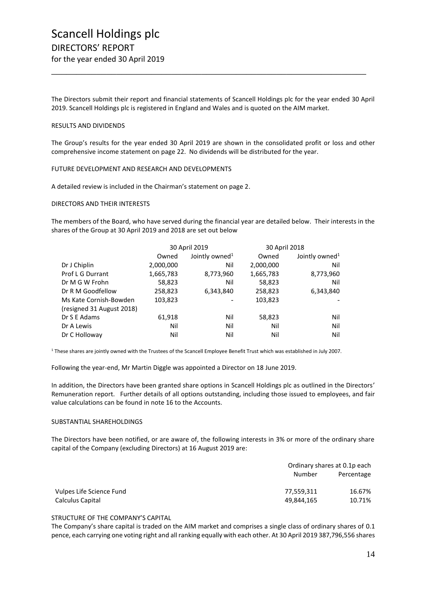The Directors submit their report and financial statements of Scancell Holdings plc for the year ended 30 April 2019. Scancell Holdings plc is registered in England and Wales and is quoted on the AIM market.

\_\_\_\_\_\_\_\_\_\_\_\_\_\_\_\_\_\_\_\_\_\_\_\_\_\_\_\_\_\_\_\_\_\_\_\_\_\_\_\_\_\_\_\_\_\_\_\_\_\_\_\_\_\_\_\_\_\_\_\_\_\_\_

### RESULTS AND DIVIDENDS

The Group's results for the year ended 30 April 2019 are shown in the consolidated profit or loss and other comprehensive income statement on page 22. No dividends will be distributed for the year.

### FUTURE DEVELOPMENT AND RESEARCH AND DEVELOPMENTS

A detailed review is included in the Chairman's statement on page 2.

### DIRECTORS AND THEIR INTERESTS

The members of the Board, who have served during the financial year are detailed below. Their interests in the shares of the Group at 30 April 2019 and 2018 are set out below

|                           | 30 April 2019 |                            | 30 April 2018 |                            |
|---------------------------|---------------|----------------------------|---------------|----------------------------|
|                           | Owned         | Jointly owned <sup>1</sup> | Owned         | Jointly owned <sup>1</sup> |
| Dr J Chiplin              | 2,000,000     | Nil                        | 2,000,000     | Nil                        |
| <b>Prof L G Durrant</b>   | 1,665,783     | 8,773,960                  | 1,665,783     | 8,773,960                  |
| Dr M G W Frohn            | 58,823        | Nil                        | 58,823        | Nil                        |
| Dr R M Goodfellow         | 258,823       | 6,343,840                  | 258,823       | 6,343,840                  |
| Ms Kate Cornish-Bowden    | 103,823       |                            | 103,823       |                            |
| (resigned 31 August 2018) |               |                            |               |                            |
| Dr S E Adams              | 61,918        | Nil                        | 58,823        | Nil                        |
| Dr A Lewis                | Nil           | Nil                        | Nil           | Nil                        |
| Dr C Holloway             | Nil           | Nil                        | Nil           | Nil                        |

<sup>1</sup> These shares are jointly owned with the Trustees of the Scancell Employee Benefit Trust which was established in July 2007.

Following the year-end, Mr Martin Diggle was appointed a Director on 18 June 2019.

In addition, the Directors have been granted share options in Scancell Holdings plc as outlined in the Directors' Remuneration report. Further details of all options outstanding, including those issued to employees, and fair value calculations can be found in note 16 to the Accounts.

### SUBSTANTIAL SHAREHOLDINGS

The Directors have been notified, or are aware of, the following interests in 3% or more of the ordinary share capital of the Company (excluding Directors) at 16 August 2019 are:

|                          | Ordinary shares at 0.1p each |            |  |
|--------------------------|------------------------------|------------|--|
|                          | Number                       | Percentage |  |
| Vulpes Life Science Fund | 77.559.311                   | 16.67%     |  |
| Calculus Capital         | 49,844,165                   | 10.71%     |  |

### STRUCTURE OF THE COMPANY'S CAPITAL

The Company's share capital is traded on the AIM market and comprises a single class of ordinary shares of 0.1 pence, each carrying one voting right and all ranking equally with each other. At 30 April 2019 387,796,556 shares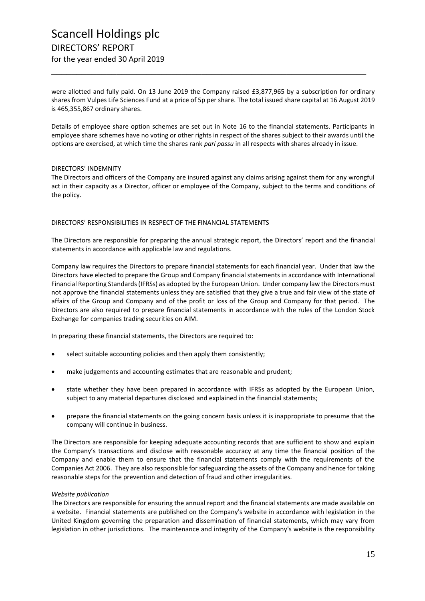were allotted and fully paid. On 13 June 2019 the Company raised £3,877,965 by a subscription for ordinary shares from Vulpes Life Sciences Fund at a price of 5p per share. The total issued share capital at 16 August 2019 is 465,355,867 ordinary shares.

\_\_\_\_\_\_\_\_\_\_\_\_\_\_\_\_\_\_\_\_\_\_\_\_\_\_\_\_\_\_\_\_\_\_\_\_\_\_\_\_\_\_\_\_\_\_\_\_\_\_\_\_\_\_\_\_\_\_\_\_\_\_\_

Details of employee share option schemes are set out in Note 16 to the financial statements. Participants in employee share schemes have no voting or other rights in respect of the shares subject to their awards until the options are exercised, at which time the shares rank *pari passu* in all respects with shares already in issue.

### DIRECTORS' INDEMNITY

The Directors and officers of the Company are insured against any claims arising against them for any wrongful act in their capacity as a Director, officer or employee of the Company, subject to the terms and conditions of the policy.

### DIRECTORS' RESPONSIBILITIES IN RESPECT OF THE FINANCIAL STATEMENTS

The Directors are responsible for preparing the annual strategic report, the Directors' report and the financial statements in accordance with applicable law and regulations.

Company law requires the Directors to prepare financial statements for each financial year. Under that law the Directors have elected to prepare the Group and Company financial statements in accordance with International Financial Reporting Standards (IFRSs) as adopted by the European Union. Under company law the Directors must not approve the financial statements unless they are satisfied that they give a true and fair view of the state of affairs of the Group and Company and of the profit or loss of the Group and Company for that period. The Directors are also required to prepare financial statements in accordance with the rules of the London Stock Exchange for companies trading securities on AIM.

In preparing these financial statements, the Directors are required to:

- select suitable accounting policies and then apply them consistently;
- make judgements and accounting estimates that are reasonable and prudent;
- state whether they have been prepared in accordance with IFRSs as adopted by the European Union, subject to any material departures disclosed and explained in the financial statements;
- prepare the financial statements on the going concern basis unless it is inappropriate to presume that the company will continue in business.

The Directors are responsible for keeping adequate accounting records that are sufficient to show and explain the Company's transactions and disclose with reasonable accuracy at any time the financial position of the Company and enable them to ensure that the financial statements comply with the requirements of the Companies Act 2006. They are also responsible for safeguarding the assets of the Company and hence for taking reasonable steps for the prevention and detection of fraud and other irregularities.

### *Website publication*

The Directors are responsible for ensuring the annual report and the financial statements are made available on a website. Financial statements are published on the Company's website in accordance with legislation in the United Kingdom governing the preparation and dissemination of financial statements, which may vary from legislation in other jurisdictions. The maintenance and integrity of the Company's website is the responsibility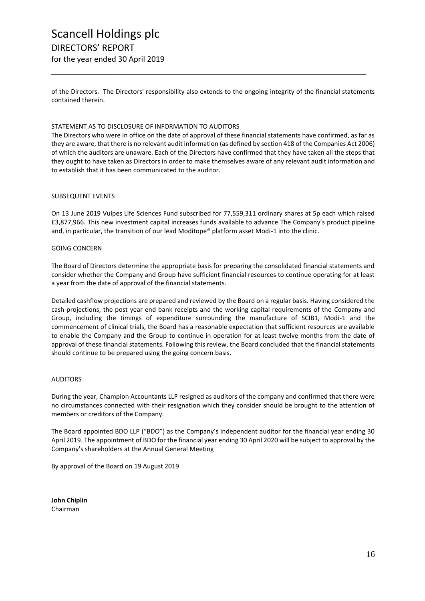of the Directors. The Directors' responsibility also extends to the ongoing integrity of the financial statements contained therein.

\_\_\_\_\_\_\_\_\_\_\_\_\_\_\_\_\_\_\_\_\_\_\_\_\_\_\_\_\_\_\_\_\_\_\_\_\_\_\_\_\_\_\_\_\_\_\_\_\_\_\_\_\_\_\_\_\_\_\_\_\_\_\_

### STATEMENT AS TO DISCLOSURE OF INFORMATION TO AUDITORS

The Directors who were in office on the date of approval of these financial statements have confirmed, as far as they are aware, that there is no relevant audit information (as defined by section 418 of the Companies Act 2006) of which the auditors are unaware. Each of the Directors have confirmed that they have taken all the steps that they ought to have taken as Directors in order to make themselves aware of any relevant audit information and to establish that it has been communicated to the auditor.

### SUBSEQUENT EVENTS

On 13 June 2019 Vulpes Life Sciences Fund subscribed for 77,559,311 ordinary shares at 5p each which raised £3,877,966. This new investment capital increases funds available to advance The Company's product pipeline and, in particular, the transition of our lead Moditope® platform asset Modi-1 into the clinic.

### GOING CONCERN

The Board of Directors determine the appropriate basis for preparing the consolidated financial statements and consider whether the Company and Group have sufficient financial resources to continue operating for at least a year from the date of approval of the financial statements.

Detailed cashflow projections are prepared and reviewed by the Board on a regular basis. Having considered the cash projections, the post year end bank receipts and the working capital requirements of the Company and Group, including the timings of expenditure surrounding the manufacture of SCIB1, Modi-1 and the commencement of clinical trials, the Board has a reasonable expectation that sufficient resources are available to enable the Company and the Group to continue in operation for at least twelve months from the date of approval of these financial statements. Following this review, the Board concluded that the financial statements should continue to be prepared using the going concern basis.

### AUDITORS

During the year, Champion Accountants LLP resigned as auditors of the company and confirmed that there were no circumstances connected with their resignation which they consider should be brought to the attention of members or creditors of the Company.

The Board appointed BDO LLP ("BDO") as the Company's independent auditor for the financial year ending 30 April 2019. The appointment of BDO for the financial year ending 30 April 2020 will be subject to approval by the Company's shareholders at the Annual General Meeting

By approval of the Board on 19 August 2019

**John Chiplin** Chairman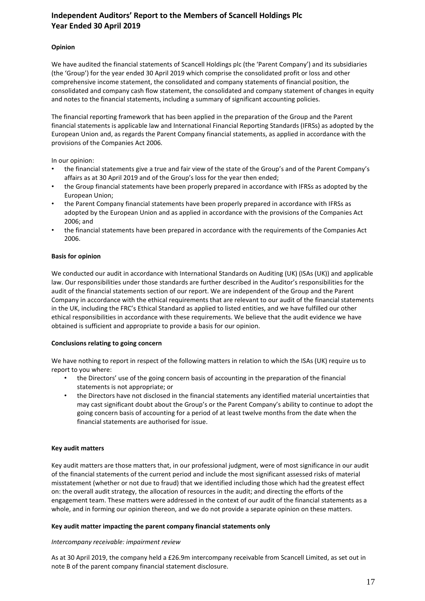### **Opinion**

We have audited the financial statements of Scancell Holdings plc (the 'Parent Company') and its subsidiaries (the 'Group') for the year ended 30 April 2019 which comprise the consolidated profit or loss and other comprehensive income statement, the consolidated and company statements of financial position, the consolidated and company cash flow statement, the consolidated and company statement of changes in equity and notes to the financial statements, including a summary of significant accounting policies.

The financial reporting framework that has been applied in the preparation of the Group and the Parent financial statements is applicable law and International Financial Reporting Standards (IFRSs) as adopted by the European Union and, as regards the Parent Company financial statements, as applied in accordance with the provisions of the Companies Act 2006.

In our opinion:

- the financial statements give a true and fair view of the state of the Group's and of the Parent Company's affairs as at 30 April 2019 and of the Group's loss for the year then ended;
- the Group financial statements have been properly prepared in accordance with IFRSs as adopted by the European Union;
- the Parent Company financial statements have been properly prepared in accordance with IFRSs as adopted by the European Union and as applied in accordance with the provisions of the Companies Act 2006; and
- the financial statements have been prepared in accordance with the requirements of the Companies Act 2006.

### **Basis for opinion**

We conducted our audit in accordance with International Standards on Auditing (UK) (ISAs (UK)) and applicable law. Our responsibilities under those standards are further described in the Auditor's responsibilities for the audit of the financial statements section of our report. We are independent of the Group and the Parent Company in accordance with the ethical requirements that are relevant to our audit of the financial statements in the UK, including the FRC's Ethical Standard as applied to listed entities, and we have fulfilled our other ethical responsibilities in accordance with these requirements. We believe that the audit evidence we have obtained is sufficient and appropriate to provide a basis for our opinion.

### **Conclusions relating to going concern**

We have nothing to report in respect of the following matters in relation to which the ISAs (UK) require us to report to you where:

- the Directors' use of the going concern basis of accounting in the preparation of the financial statements is not appropriate; or
- the Directors have not disclosed in the financial statements any identified material uncertainties that may cast significant doubt about the Group's or the Parent Company's ability to continue to adopt the going concern basis of accounting for a period of at least twelve months from the date when the financial statements are authorised for issue.

### **Key audit matters**

Key audit matters are those matters that, in our professional judgment, were of most significance in our audit of the financial statements of the current period and include the most significant assessed risks of material misstatement (whether or not due to fraud) that we identified including those which had the greatest effect on: the overall audit strategy, the allocation of resources in the audit; and directing the efforts of the engagement team. These matters were addressed in the context of our audit of the financial statements as a whole, and in forming our opinion thereon, and we do not provide a separate opinion on these matters.

### **Key audit matter impacting the parent company financial statements only**

### *Intercompany receivable: impairment review*

As at 30 April 2019, the company held a £26.9m intercompany receivable from Scancell Limited, as set out in note B of the parent company financial statement disclosure.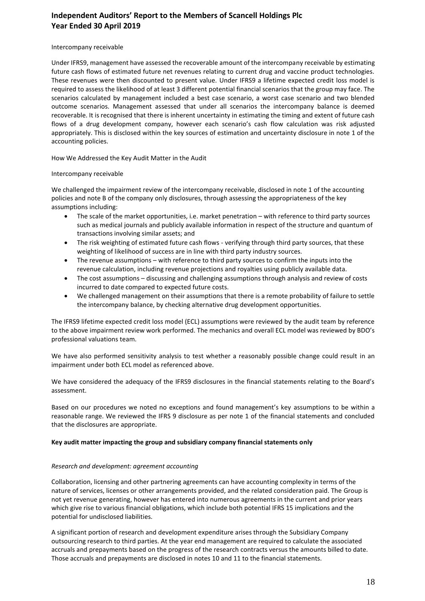### Intercompany receivable

Under IFRS9, management have assessed the recoverable amount of the intercompany receivable by estimating future cash flows of estimated future net revenues relating to current drug and vaccine product technologies. These revenues were then discounted to present value. Under IFRS9 a lifetime expected credit loss model is required to assess the likelihood of at least 3 different potential financial scenarios that the group may face. The scenarios calculated by management included a best case scenario, a worst case scenario and two blended outcome scenarios. Management assessed that under all scenarios the intercompany balance is deemed recoverable. It is recognised that there is inherent uncertainty in estimating the timing and extent of future cash flows of a drug development company, however each scenario's cash flow calculation was risk adjusted appropriately. This is disclosed within the key sources of estimation and uncertainty disclosure in note 1 of the accounting policies.

How We Addressed the Key Audit Matter in the Audit

### Intercompany receivable

We challenged the impairment review of the intercompany receivable, disclosed in note 1 of the accounting policies and note B of the company only disclosures, through assessing the appropriateness of the key assumptions including:

- The scale of the market opportunities, i.e. market penetration with reference to third party sources such as medical journals and publicly available information in respect of the structure and quantum of transactions involving similar assets; and
- The risk weighting of estimated future cash flows verifying through third party sources, that these weighting of likelihood of success are in line with third party industry sources.
- The revenue assumptions with reference to third party sources to confirm the inputs into the revenue calculation, including revenue projections and royalties using publicly available data.
- The cost assumptions discussing and challenging assumptions through analysis and review of costs incurred to date compared to expected future costs.
- We challenged management on their assumptions that there is a remote probability of failure to settle the intercompany balance, by checking alternative drug development opportunities.

The IFRS9 lifetime expected credit loss model (ECL) assumptions were reviewed by the audit team by reference to the above impairment review work performed. The mechanics and overall ECL model was reviewed by BDO's professional valuations team.

We have also performed sensitivity analysis to test whether a reasonably possible change could result in an impairment under both ECL model as referenced above.

We have considered the adequacy of the IFRS9 disclosures in the financial statements relating to the Board's assessment.

Based on our procedures we noted no exceptions and found management's key assumptions to be within a reasonable range. We reviewed the IFRS 9 disclosure as per note 1 of the financial statements and concluded that the disclosures are appropriate.

### **Key audit matter impacting the group and subsidiary company financial statements only**

### *Research and development: agreement accounting*

Collaboration, licensing and other partnering agreements can have accounting complexity in terms of the nature of services, licenses or other arrangements provided, and the related consideration paid. The Group is not yet revenue generating, however has entered into numerous agreements in the current and prior years which give rise to various financial obligations, which include both potential IFRS 15 implications and the potential for undisclosed liabilities.

A significant portion of research and development expenditure arises through the Subsidiary Company outsourcing research to third parties. At the year end management are required to calculate the associated accruals and prepayments based on the progress of the research contracts versus the amounts billed to date. Those accruals and prepayments are disclosed in notes 10 and 11 to the financial statements.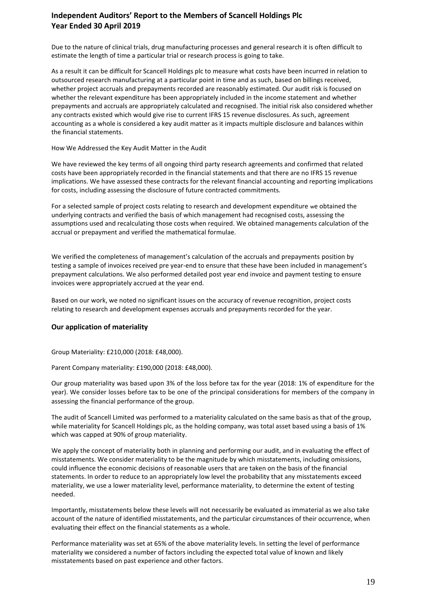Due to the nature of clinical trials, drug manufacturing processes and general research it is often difficult to estimate the length of time a particular trial or research process is going to take.

As a result it can be difficult for Scancell Holdings plc to measure what costs have been incurred in relation to outsourced research manufacturing at a particular point in time and as such, based on billings received, whether project accruals and prepayments recorded are reasonably estimated. Our audit risk is focused on whether the relevant expenditure has been appropriately included in the income statement and whether prepayments and accruals are appropriately calculated and recognised. The initial risk also considered whether any contracts existed which would give rise to current IFRS 15 revenue disclosures. As such, agreement accounting as a whole is considered a key audit matter as it impacts multiple disclosure and balances within the financial statements.

How We Addressed the Key Audit Matter in the Audit

We have reviewed the key terms of all ongoing third party research agreements and confirmed that related costs have been appropriately recorded in the financial statements and that there are no IFRS 15 revenue implications. We have assessed these contracts for the relevant financial accounting and reporting implications for costs, including assessing the disclosure of future contracted commitments.

For a selected sample of project costs relating to research and development expenditure we obtained the underlying contracts and verified the basis of which management had recognised costs, assessing the assumptions used and recalculating those costs when required. We obtained managements calculation of the accrual or prepayment and verified the mathematical formulae.

We verified the completeness of management's calculation of the accruals and prepayments position by testing a sample of invoices received pre year-end to ensure that these have been included in management's prepayment calculations. We also performed detailed post year end invoice and payment testing to ensure invoices were appropriately accrued at the year end.

Based on our work, we noted no significant issues on the accuracy of revenue recognition, project costs relating to research and development expenses accruals and prepayments recorded for the year.

### **Our application of materiality**

Group Materiality: £210,000 (2018: £48,000).

Parent Company materiality: £190,000 (2018: £48,000).

Our group materiality was based upon 3% of the loss before tax for the year (2018: 1% of expenditure for the year). We consider losses before tax to be one of the principal considerations for members of the company in assessing the financial performance of the group.

The audit of Scancell Limited was performed to a materiality calculated on the same basis as that of the group, while materiality for Scancell Holdings plc, as the holding company, was total asset based using a basis of 1% which was capped at 90% of group materiality.

We apply the concept of materiality both in planning and performing our audit, and in evaluating the effect of misstatements. We consider materiality to be the magnitude by which misstatements, including omissions, could influence the economic decisions of reasonable users that are taken on the basis of the financial statements. In order to reduce to an appropriately low level the probability that any misstatements exceed materiality, we use a lower materiality level, performance materiality, to determine the extent of testing needed.

Importantly, misstatements below these levels will not necessarily be evaluated as immaterial as we also take account of the nature of identified misstatements, and the particular circumstances of their occurrence, when evaluating their effect on the financial statements as a whole.

Performance materiality was set at 65% of the above materiality levels. In setting the level of performance materiality we considered a number of factors including the expected total value of known and likely misstatements based on past experience and other factors.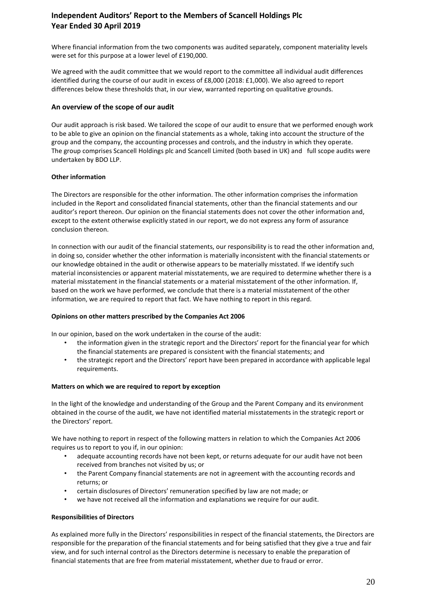Where financial information from the two components was audited separately, component materiality levels were set for this purpose at a lower level of £190,000.

We agreed with the audit committee that we would report to the committee all individual audit differences identified during the course of our audit in excess of £8,000 (2018: £1,000). We also agreed to report differences below these thresholds that, in our view, warranted reporting on qualitative grounds.

### **An overview of the scope of our audit**

Our audit approach is risk based. We tailored the scope of our audit to ensure that we performed enough work to be able to give an opinion on the financial statements as a whole, taking into account the structure of the group and the company, the accounting processes and controls, and the industry in which they operate. The group comprises Scancell Holdings plc and Scancell Limited (both based in UK) and full scope audits were undertaken by BDO LLP.

### **Other information**

The Directors are responsible for the other information. The other information comprises the information included in the Report and consolidated financial statements, other than the financial statements and our auditor's report thereon. Our opinion on the financial statements does not cover the other information and, except to the extent otherwise explicitly stated in our report, we do not express any form of assurance conclusion thereon.

In connection with our audit of the financial statements, our responsibility is to read the other information and, in doing so, consider whether the other information is materially inconsistent with the financial statements or our knowledge obtained in the audit or otherwise appears to be materially misstated. If we identify such material inconsistencies or apparent material misstatements, we are required to determine whether there is a material misstatement in the financial statements or a material misstatement of the other information. If, based on the work we have performed, we conclude that there is a material misstatement of the other information, we are required to report that fact. We have nothing to report in this regard.

### **Opinions on other matters prescribed by the Companies Act 2006**

In our opinion, based on the work undertaken in the course of the audit:

- the information given in the strategic report and the Directors' report for the financial year for which the financial statements are prepared is consistent with the financial statements; and
- the strategic report and the Directors' report have been prepared in accordance with applicable legal requirements.

### **Matters on which we are required to report by exception**

In the light of the knowledge and understanding of the Group and the Parent Company and its environment obtained in the course of the audit, we have not identified material misstatements in the strategic report or the Directors' report.

We have nothing to report in respect of the following matters in relation to which the Companies Act 2006 requires us to report to you if, in our opinion:

- adequate accounting records have not been kept, or returns adequate for our audit have not been received from branches not visited by us; or
- the Parent Company financial statements are not in agreement with the accounting records and returns; or
- certain disclosures of Directors' remuneration specified by law are not made; or
- we have not received all the information and explanations we require for our audit.

### **Responsibilities of Directors**

As explained more fully in the Directors' responsibilities in respect of the financial statements, the Directors are responsible for the preparation of the financial statements and for being satisfied that they give a true and fair view, and for such internal control as the Directors determine is necessary to enable the preparation of financial statements that are free from material misstatement, whether due to fraud or error.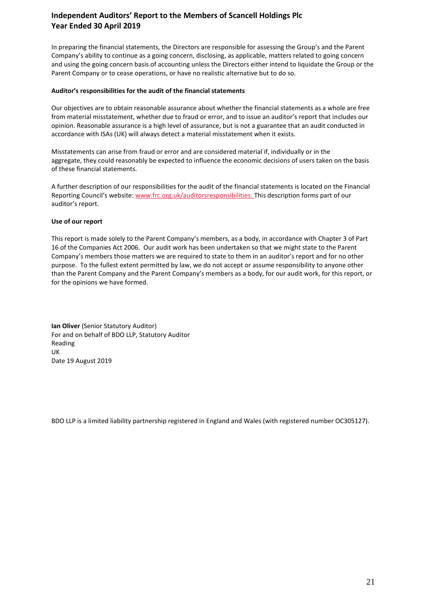In preparing the financial statements, the Directors are responsible for assessing the Group's and the Parent Company's ability to continue as a going concern, disclosing, as applicable, matters related to going concern and using the going concern basis of accounting unless the Directors either intend to liquidate the Group or the Parent Company or to cease operations, or have no realistic alternative but to do so.

### **Auditor's responsibilities for the audit of the financial statements**

Our objectives are to obtain reasonable assurance about whether the financial statements as a whole are free from material misstatement, whether due to fraud or error, and to issue an auditor's report that includes our opinion. Reasonable assurance is a high level of assurance, but is not a guarantee that an audit conducted in accordance with ISAs (UK) will always detect a material misstatement when it exists.

Misstatements can arise from fraud or error and are considered material if, individually or in the aggregate, they could reasonably be expected to influence the economic decisions of users taken on the basis of these financial statements.

A further description of our responsibilities for the audit of the financial statements is located on the Financial Reporting Council's website: [www.frc.org.uk/auditorsresponsibilities.](http://www.frc.org.uk/auditorsresponsibilitities) This description forms part of our auditor's report.

### **Use of our report**

This report is made solely to the Parent Company's members, as a body, in accordance with Chapter 3 of Part 16 of the Companies Act 2006. Our audit work has been undertaken so that we might state to the Parent Company's members those matters we are required to state to them in an auditor's report and for no other purpose. To the fullest extent permitted by law, we do not accept or assume responsibility to anyone other than the Parent Company and the Parent Company's members as a body, for our audit work, for this report, or for the opinions we have formed.

**Ian Oliver** (Senior Statutory Auditor) For and on behalf of BDO LLP, Statutory Auditor Reading UK Date 19 August 2019

BDO LLP is a limited liability partnership registered in England and Wales (with registered number OC305127).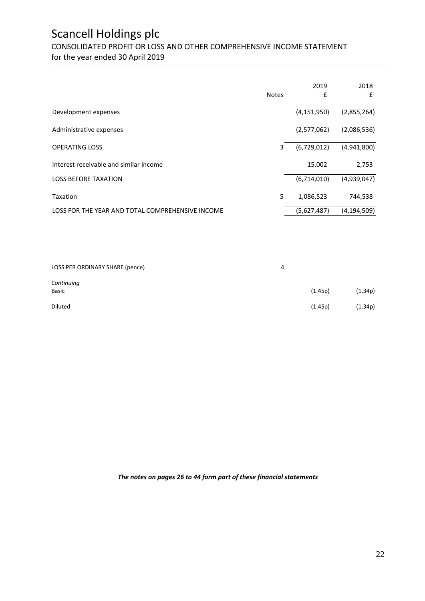CONSOLIDATED PROFIT OR LOSS AND OTHER COMPREHENSIVE INCOME STATEMENT

for the year ended 30 April 2019

|                                                  | <b>Notes</b> | 2019<br>£     | 2018<br>£     |
|--------------------------------------------------|--------------|---------------|---------------|
| Development expenses                             |              | (4, 151, 950) | (2,855,264)   |
| Administrative expenses                          |              | (2,577,062)   | (2,086,536)   |
| <b>OPERATING LOSS</b>                            | 3            | (6,729,012)   | (4,941,800)   |
| Interest receivable and similar income           |              | 15,002        | 2,753         |
| <b>LOSS BEFORE TAXATION</b>                      |              | (6,714,010)   | (4,939,047)   |
| Taxation                                         | 5            | 1,086,523     | 744,538       |
| LOSS FOR THE YEAR AND TOTAL COMPREHENSIVE INCOME |              | (5,627,487)   | (4, 194, 509) |

| LOSS PER ORDINARY SHARE (pence) | 4 |         |         |
|---------------------------------|---|---------|---------|
| Continuing                      |   |         |         |
| <b>Basic</b>                    |   | (1.45p) | (1.34p) |
| <b>Diluted</b>                  |   | (1.45p) | (1.34p) |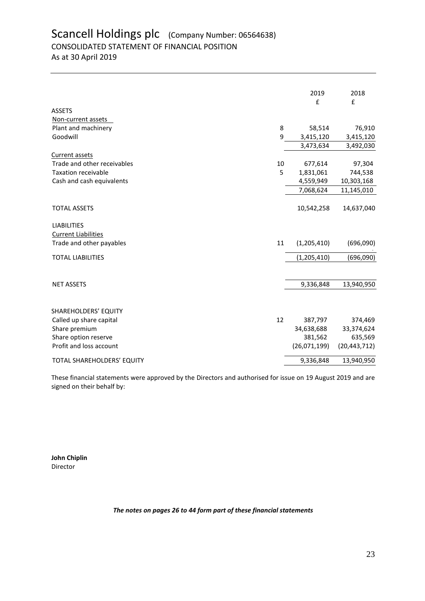### Scancell Holdings plc (Company Number: 06564638) CONSOLIDATED STATEMENT OF FINANCIAL POSITION As at 30 April 2019

|                                          |    | 2019<br>£             | 2018<br>£             |
|------------------------------------------|----|-----------------------|-----------------------|
| <b>ASSETS</b>                            |    |                       |                       |
| Non-current assets                       |    |                       |                       |
| Plant and machinery                      | 8  | 58,514                | 76,910                |
| Goodwill                                 | 9  | 3,415,120             | 3,415,120             |
|                                          |    | 3,473,634             | 3,492,030             |
| Current assets                           |    |                       |                       |
| Trade and other receivables              | 10 | 677,614               | 97,304                |
| <b>Taxation receivable</b>               | 5  | 1,831,061             | 744,538               |
| Cash and cash equivalents                |    | 4,559,949             | 10,303,168            |
|                                          |    | 7,068,624             | 11,145,010            |
| <b>TOTAL ASSETS</b>                      |    | 10,542,258            | 14,637,040            |
| <b>LIABILITIES</b>                       |    |                       |                       |
| <b>Current Liabilities</b>               |    |                       |                       |
| Trade and other payables                 | 11 | (1,205,410)           | (696,090)             |
| <b>TOTAL LIABILITIES</b>                 |    | (1, 205, 410)         | (696,090)             |
|                                          |    |                       |                       |
| <b>NET ASSETS</b>                        |    | 9,336,848             | 13,940,950            |
|                                          |    |                       |                       |
| SHAREHOLDERS' EQUITY                     |    |                       |                       |
| Called up share capital<br>Share premium | 12 | 387,797<br>34,638,688 | 374,469<br>33,374,624 |
| Share option reserve                     |    | 381,562               | 635,569               |
| Profit and loss account                  |    | (26,071,199)          | (20, 443, 712)        |
|                                          |    |                       |                       |
| TOTAL SHAREHOLDERS' EQUITY               |    | 9,336,848             | 13,940,950            |
|                                          |    |                       |                       |

These financial statements were approved by the Directors and authorised for issue on 19 August 2019 and are signed on their behalf by:

**John Chiplin** Director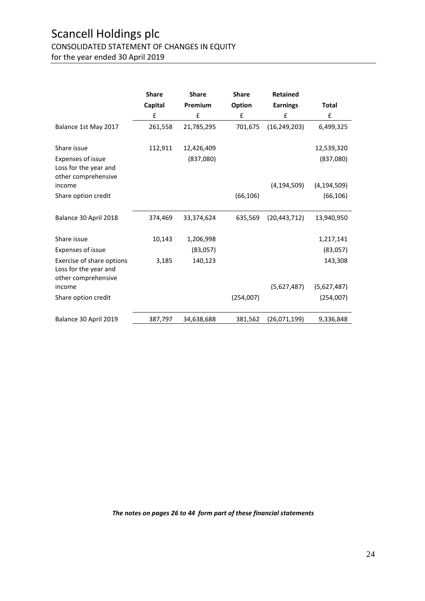## CONSOLIDATED STATEMENT OF CHANGES IN EQUITY

for the year ended 30 April 2019

|                                                                           | <b>Share</b> | <b>Share</b> | <b>Share</b> | <b>Retained</b> |               |
|---------------------------------------------------------------------------|--------------|--------------|--------------|-----------------|---------------|
|                                                                           | Capital      | Premium      | Option       | <b>Earnings</b> | <b>Total</b>  |
|                                                                           | £            | £            | £            | £               | £             |
| Balance 1st May 2017                                                      | 261,558      | 21,785,295   | 701,675      | (16, 249, 203)  | 6,499,325     |
| Share issue                                                               | 112,911      | 12,426,409   |              |                 | 12,539,320    |
| Expenses of issue<br>Loss for the year and<br>other comprehensive         |              | (837,080)    |              |                 | (837,080)     |
| income                                                                    |              |              |              | (4, 194, 509)   | (4, 194, 509) |
| Share option credit                                                       |              |              | (66, 106)    |                 | (66, 106)     |
| Balance 30 April 2018                                                     | 374,469      | 33,374,624   | 635,569      | (20, 443, 712)  | 13,940,950    |
| Share issue                                                               | 10,143       | 1,206,998    |              |                 | 1,217,141     |
| Expenses of issue                                                         |              | (83,057)     |              |                 | (83,057)      |
| Exercise of share options<br>Loss for the year and<br>other comprehensive | 3,185        | 140,123      |              |                 | 143,308       |
| income                                                                    |              |              |              | (5,627,487)     | (5,627,487)   |
| Share option credit                                                       |              |              | (254,007)    |                 | (254,007)     |
| Balance 30 April 2019                                                     | 387,797      | 34,638,688   | 381,562      | (26,071,199)    | 9,336,848     |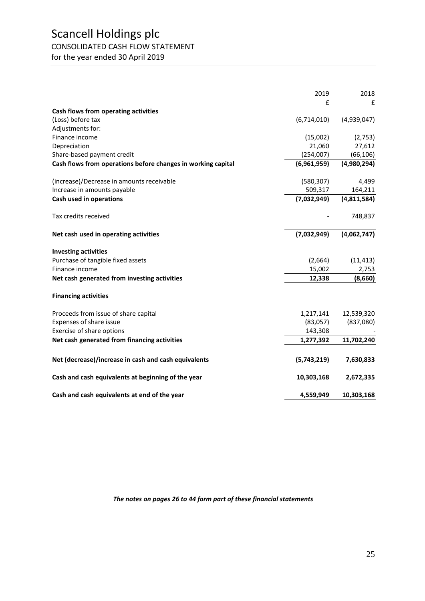### CONSOLIDATED CASH FLOW STATEMENT

for the year ended 30 April 2019

|                                                              | 2019<br>£   | 2018<br>£   |
|--------------------------------------------------------------|-------------|-------------|
| Cash flows from operating activities                         |             |             |
| (Loss) before tax                                            | (6,714,010) | (4,939,047) |
| Adjustments for:                                             |             |             |
| Finance income                                               | (15,002)    | (2,753)     |
| Depreciation                                                 | 21,060      | 27,612      |
| Share-based payment credit                                   | (254,007)   | (66, 106)   |
| Cash flows from operations before changes in working capital | (6,961,959) | (4,980,294) |
| (increase)/Decrease in amounts receivable                    | (580, 307)  | 4,499       |
| Increase in amounts payable                                  | 509,317     | 164,211     |
| Cash used in operations                                      | (7,032,949) | (4,811,584) |
| Tax credits received                                         |             | 748,837     |
| Net cash used in operating activities                        | (7,032,949) | (4,062,747) |
| <b>Investing activities</b>                                  |             |             |
| Purchase of tangible fixed assets                            | (2,664)     | (11, 413)   |
| Finance income                                               | 15,002      | 2,753       |
| Net cash generated from investing activities                 | 12,338      | (8,660)     |
| <b>Financing activities</b>                                  |             |             |
| Proceeds from issue of share capital                         | 1,217,141   | 12,539,320  |
| Expenses of share issue                                      | (83,057)    | (837,080)   |
| Exercise of share options                                    | 143,308     |             |
| Net cash generated from financing activities                 | 1,277,392   | 11,702,240  |
| Net (decrease)/increase in cash and cash equivalents         | (5,743,219) | 7,630,833   |
| Cash and cash equivalents at beginning of the year           | 10,303,168  | 2,672,335   |
| Cash and cash equivalents at end of the year                 | 4,559,949   | 10,303,168  |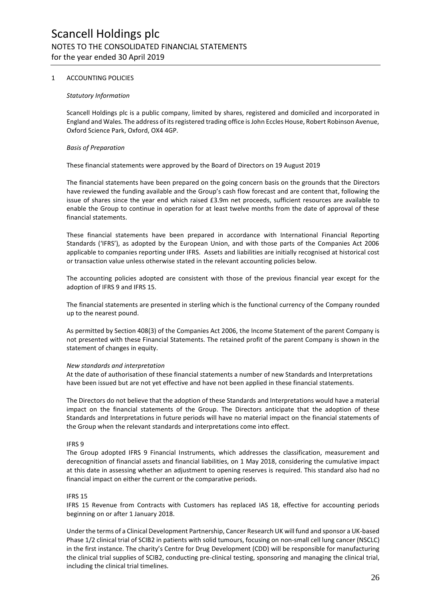## Scancell Holdings plc NOTES TO THE CONSOLIDATED FINANCIAL STATEMENTS for the year ended 30 April 2019

### 1 ACCOUNTING POLICIES

### *Statutory Information*

Scancell Holdings plc is a public company, limited by shares, registered and domiciled and incorporated in England and Wales. The address of its registered trading office is John Eccles House, Robert Robinson Avenue, Oxford Science Park, Oxford, OX4 4GP*.*

### *Basis of Preparation*

These financial statements were approved by the Board of Directors on 19 August 2019

The financial statements have been prepared on the going concern basis on the grounds that the Directors have reviewed the funding available and the Group's cash flow forecast and are content that, following the issue of shares since the year end which raised £3.9m net proceeds, sufficient resources are available to enable the Group to continue in operation for at least twelve months from the date of approval of these financial statements.

These financial statements have been prepared in accordance with International Financial Reporting Standards ('IFRS'), as adopted by the European Union, and with those parts of the Companies Act 2006 applicable to companies reporting under IFRS. Assets and liabilities are initially recognised at historical cost or transaction value unless otherwise stated in the relevant accounting policies below.

The accounting policies adopted are consistent with those of the previous financial year except for the adoption of IFRS 9 and IFRS 15.

The financial statements are presented in sterling which is the functional currency of the Company rounded up to the nearest pound.

As permitted by Section 408(3) of the Companies Act 2006, the Income Statement of the parent Company is not presented with these Financial Statements. The retained profit of the parent Company is shown in the statement of changes in equity.

### *New standards and interpretation*

At the date of authorisation of these financial statements a number of new Standards and Interpretations have been issued but are not yet effective and have not been applied in these financial statements.

The Directors do not believe that the adoption of these Standards and Interpretations would have a material impact on the financial statements of the Group. The Directors anticipate that the adoption of these Standards and Interpretations in future periods will have no material impact on the financial statements of the Group when the relevant standards and interpretations come into effect.

### IFRS 9

The Group adopted IFRS 9 Financial Instruments, which addresses the classification, measurement and derecognition of financial assets and financial liabilities, on 1 May 2018, considering the cumulative impact at this date in assessing whether an adjustment to opening reserves is required. This standard also had no financial impact on either the current or the comparative periods.

### IFRS 15

IFRS 15 Revenue from Contracts with Customers has replaced IAS 18, effective for accounting periods beginning on or after 1 January 2018.

Under the terms of a Clinical Development Partnership, Cancer Research UK will fund and sponsor a UK-based Phase 1/2 clinical trial of SCIB2 in patients with solid tumours, focusing on non-small cell lung cancer (NSCLC) in the first instance. The charity's Centre for Drug Development (CDD) will be responsible for manufacturing the clinical trial supplies of SCIB2, conducting pre-clinical testing, sponsoring and managing the clinical trial, including the clinical trial timelines.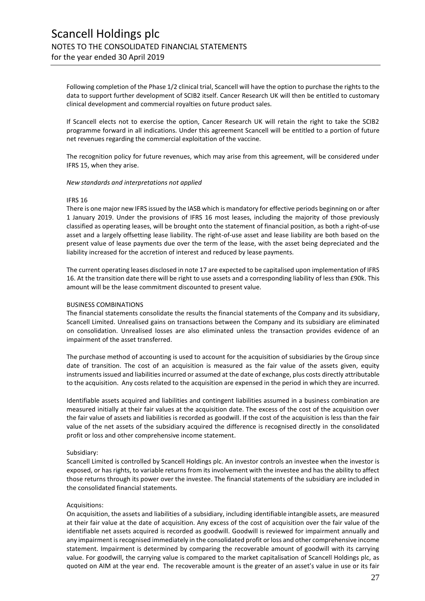Following completion of the Phase 1/2 clinical trial, Scancell will have the option to purchase the rights to the data to support further development of SCIB2 itself. Cancer Research UK will then be entitled to customary clinical development and commercial royalties on future product sales.

If Scancell elects not to exercise the option, Cancer Research UK will retain the right to take the SCIB2 programme forward in all indications. Under this agreement Scancell will be entitled to a portion of future net revenues regarding the commercial exploitation of the vaccine.

The recognition policy for future revenues, which may arise from this agreement, will be considered under IFRS 15, when they arise.

### *New standards and interpretations not applied*

### IFRS 16

There is one major new IFRS issued by the IASB which is mandatory for effective periods beginning on or after 1 January 2019. Under the provisions of IFRS 16 most leases, including the majority of those previously classified as operating leases, will be brought onto the statement of financial position, as both a right-of-use asset and a largely offsetting lease liability. The right-of-use asset and lease liability are both based on the present value of lease payments due over the term of the lease, with the asset being depreciated and the liability increased for the accretion of interest and reduced by lease payments.

The current operating leases disclosed in note 17 are expected to be capitalised upon implementation of IFRS 16. At the transition date there will be right to use assets and a corresponding liability of less than £90k. This amount will be the lease commitment discounted to present value.

### BUSINESS COMBINATIONS

The financial statements consolidate the results the financial statements of the Company and its subsidiary, Scancell Limited. Unrealised gains on transactions between the Company and its subsidiary are eliminated on consolidation. Unrealised losses are also eliminated unless the transaction provides evidence of an impairment of the asset transferred.

The purchase method of accounting is used to account for the acquisition of subsidiaries by the Group since date of transition. The cost of an acquisition is measured as the fair value of the assets given, equity instruments issued and liabilities incurred or assumed at the date of exchange, plus costs directly attributable to the acquisition. Any costs related to the acquisition are expensed in the period in which they are incurred.

Identifiable assets acquired and liabilities and contingent liabilities assumed in a business combination are measured initially at their fair values at the acquisition date. The excess of the cost of the acquisition over the fair value of assets and liabilities is recorded as goodwill. If the cost of the acquisition is less than the fair value of the net assets of the subsidiary acquired the difference is recognised directly in the consolidated profit or loss and other comprehensive income statement.

### Subsidiary:

Scancell Limited is controlled by Scancell Holdings plc. An investor controls an investee when the investor is exposed, or has rights, to variable returns from its involvement with the investee and has the ability to affect those returns through its power over the investee. The financial statements of the subsidiary are included in the consolidated financial statements.

### Acquisitions:

On acquisition, the assets and liabilities of a subsidiary, including identifiable intangible assets, are measured at their fair value at the date of acquisition. Any excess of the cost of acquisition over the fair value of the identifiable net assets acquired is recorded as goodwill. Goodwill is reviewed for impairment annually and any impairment is recognised immediately in the consolidated profit or loss and other comprehensive income statement. Impairment is determined by comparing the recoverable amount of goodwill with its carrying value. For goodwill, the carrying value is compared to the market capitalisation of Scancell Holdings plc, as quoted on AIM at the year end. The recoverable amount is the greater of an asset's value in use or its fair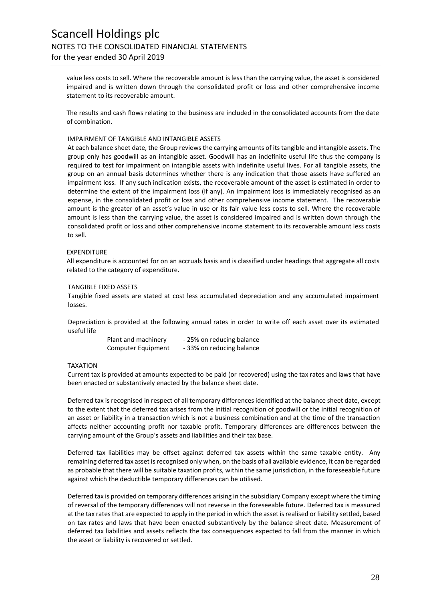value less costs to sell. Where the recoverable amount is less than the carrying value, the asset is considered impaired and is written down through the consolidated profit or loss and other comprehensive income statement to its recoverable amount.

The results and cash flows relating to the business are included in the consolidated accounts from the date of combination.

### IMPAIRMENT OF TANGIBLE AND INTANGIBLE ASSETS

At each balance sheet date, the Group reviews the carrying amounts of its tangible and intangible assets. The group only has goodwill as an intangible asset. Goodwill has an indefinite useful life thus the company is required to test for impairment on intangible assets with indefinite useful lives. For all tangible assets, the group on an annual basis determines whether there is any indication that those assets have suffered an impairment loss. If any such indication exists, the recoverable amount of the asset is estimated in order to determine the extent of the impairment loss (if any). An impairment loss is immediately recognised as an expense, in the consolidated profit or loss and other comprehensive income statement. The recoverable amount is the greater of an asset's value in use or its fair value less costs to sell. Where the recoverable amount is less than the carrying value, the asset is considered impaired and is written down through the consolidated profit or loss and other comprehensive income statement to its recoverable amount less costs to sell.

### EXPENDITURE

All expenditure is accounted for on an accruals basis and is classified under headings that aggregate all costs related to the category of expenditure.

### TANGIBLE FIXED ASSETS

Tangible fixed assets are stated at cost less accumulated depreciation and any accumulated impairment losses.

Depreciation is provided at the following annual rates in order to write off each asset over its estimated useful life

| Plant and machinery | - 25% on reducing balance |
|---------------------|---------------------------|
| Computer Equipment  | -33% on reducing balance  |

### TAXATION

Current tax is provided at amounts expected to be paid (or recovered) using the tax rates and laws that have been enacted or substantively enacted by the balance sheet date.

Deferred tax is recognised in respect of all temporary differences identified at the balance sheet date, except to the extent that the deferred tax arises from the initial recognition of goodwill or the initial recognition of an asset or liability in a transaction which is not a business combination and at the time of the transaction affects neither accounting profit nor taxable profit. Temporary differences are differences between the carrying amount of the Group's assets and liabilities and their tax base.

Deferred tax liabilities may be offset against deferred tax assets within the same taxable entity. Any remaining deferred tax asset is recognised only when, on the basis of all available evidence, it can be regarded as probable that there will be suitable taxation profits, within the same jurisdiction, in the foreseeable future against which the deductible temporary differences can be utilised.

Deferred tax is provided on temporary differences arising in the subsidiary Company except where the timing of reversal of the temporary differences will not reverse in the foreseeable future. Deferred tax is measured at the tax rates that are expected to apply in the period in which the asset is realised or liability settled, based on tax rates and laws that have been enacted substantively by the balance sheet date. Measurement of deferred tax liabilities and assets reflects the tax consequences expected to fall from the manner in which the asset or liability is recovered or settled.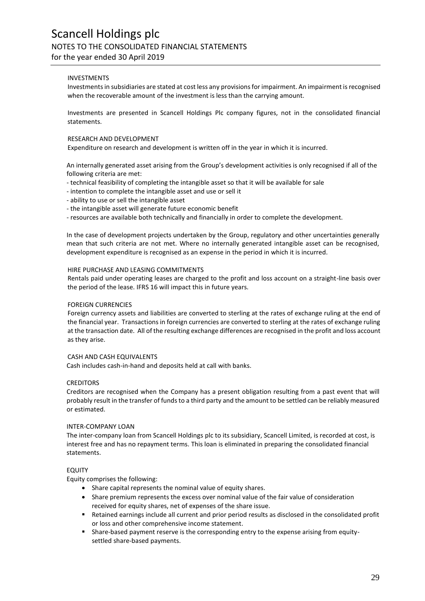### Scancell Holdings plc NOTES TO THE CONSOLIDATED FINANCIAL STATEMENTS for the year ended 30 April 2019

### INVESTMENTS

Investments in subsidiaries are stated at cost less any provisions for impairment. An impairment is recognised when the recoverable amount of the investment is less than the carrying amount.

Investments are presented in Scancell Holdings Plc company figures, not in the consolidated financial statements.

### RESEARCH AND DEVELOPMENT

Expenditure on research and development is written off in the year in which it is incurred.

An internally generated asset arising from the Group's development activities is only recognised if all of the following criteria are met:

- technical feasibility of completing the intangible asset so that it will be available for sale
- intention to complete the intangible asset and use or sell it
- ability to use or sell the intangible asset
- the intangible asset will generate future economic benefit
- resources are available both technically and financially in order to complete the development.

In the case of development projects undertaken by the Group, regulatory and other uncertainties generally mean that such criteria are not met. Where no internally generated intangible asset can be recognised, development expenditure is recognised as an expense in the period in which it is incurred.

### HIRE PURCHASE AND LEASING COMMITMENTS

Rentals paid under operating leases are charged to the profit and loss account on a straight-line basis over the period of the lease. IFRS 16 will impact this in future years.

### FOREIGN CURRENCIES

Foreign currency assets and liabilities are converted to sterling at the rates of exchange ruling at the end of the financial year. Transactions in foreign currencies are converted to sterling at the rates of exchange ruling at the transaction date. All of the resulting exchange differences are recognised in the profit and loss account as they arise.

### CASH AND CASH EQUIVALENTS

Cash includes cash-in-hand and deposits held at call with banks.

### **CREDITORS**

Creditors are recognised when the Company has a present obligation resulting from a past event that will probably result in the transfer of funds to a third party and the amount to be settled can be reliably measured or estimated.

### INTER-COMPANY LOAN

The inter-company loan from Scancell Holdings plc to its subsidiary, Scancell Limited, is recorded at cost, is interest free and has no repayment terms. This loan is eliminated in preparing the consolidated financial statements.

### EQUITY

Equity comprises the following:

- Share capital represents the nominal value of equity shares.
- Share premium represents the excess over nominal value of the fair value of consideration received for equity shares, net of expenses of the share issue.
- Retained earnings include all current and prior period results as disclosed in the consolidated profit or loss and other comprehensive income statement.
- **EXECT** Share-based payment reserve is the corresponding entry to the expense arising from equitysettled share-based payments.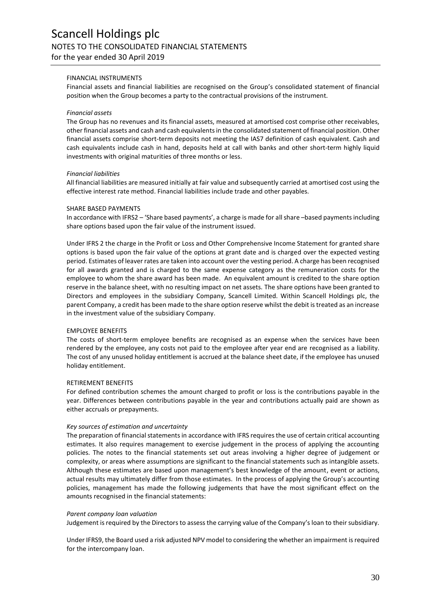# Scancell Holdings plc NOTES TO THE CONSOLIDATED FINANCIAL STATEMENTS

for the year ended 30 April 2019

### FINANCIAL INSTRUMENTS

Financial assets and financial liabilities are recognised on the Group's consolidated statement of financial position when the Group becomes a party to the contractual provisions of the instrument.

### *Financial assets*

The Group has no revenues and its financial assets, measured at amortised cost comprise other receivables, other financial assets and cash and cash equivalentsin the consolidated statement of financial position. Other financial assets comprise short-term deposits not meeting the IAS7 definition of cash equivalent. Cash and cash equivalents include cash in hand, deposits held at call with banks and other short-term highly liquid investments with original maturities of three months or less.

### *Financial liabilities*

All financial liabilities are measured initially at fair value and subsequently carried at amortised cost using the effective interest rate method. Financial liabilities include trade and other payables.

### SHARE BASED PAYMENTS

In accordance with IFRS2 – 'Share based payments', a charge is made for all share –based payments including share options based upon the fair value of the instrument issued.

Under IFRS 2 the charge in the Profit or Loss and Other Comprehensive Income Statement for granted share options is based upon the fair value of the options at grant date and is charged over the expected vesting period. Estimates of leaver rates are taken into account over the vesting period. A charge has been recognised for all awards granted and is charged to the same expense category as the remuneration costs for the employee to whom the share award has been made. An equivalent amount is credited to the share option reserve in the balance sheet, with no resulting impact on net assets. The share options have been granted to Directors and employees in the subsidiary Company, Scancell Limited. Within Scancell Holdings plc, the parent Company, a credit has been made to the share option reserve whilst the debit is treated as an increase in the investment value of the subsidiary Company.

### EMPLOYEE BENEFITS

The costs of short-term employee benefits are recognised as an expense when the services have been rendered by the employee, any costs not paid to the employee after year end are recognised as a liability. The cost of any unused holiday entitlement is accrued at the balance sheet date, if the employee has unused holiday entitlement.

### RETIREMENT BENEFITS

For defined contribution schemes the amount charged to profit or loss is the contributions payable in the year. Differences between contributions payable in the year and contributions actually paid are shown as either accruals or prepayments.

### *Key sources of estimation and uncertainty*

The preparation of financial statements in accordance with IFRS requires the use of certain critical accounting estimates. It also requires management to exercise judgement in the process of applying the accounting policies. The notes to the financial statements set out areas involving a higher degree of judgement or complexity, or areas where assumptions are significant to the financial statements such as intangible assets. Although these estimates are based upon management's best knowledge of the amount, event or actions, actual results may ultimately differ from those estimates. In the process of applying the Group's accounting policies, management has made the following judgements that have the most significant effect on the amounts recognised in the financial statements:

### *Parent company loan valuation*

Judgement is required by the Directors to assess the carrying value of the Company's loan to their subsidiary.

Under IFRS9, the Board used a risk adjusted NPV model to considering the whether an impairment is required for the intercompany loan.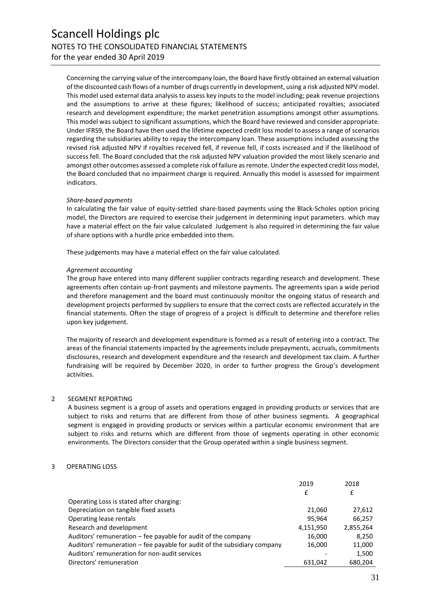Concerning the carrying value of the intercompany loan, the Board have firstly obtained an external valuation of the discounted cash flows of a number of drugs currently in development, using a risk adjusted NPV model. This model used external data analysis to assess key inputs to the model including; peak revenue projections and the assumptions to arrive at these figures; likelihood of success; anticipated royalties; associated research and development expenditure; the market penetration assumptions amongst other assumptions. This model was subject to significant assumptions, which the Board have reviewed and consider appropriate. Under IFRS9, the Board have then used the lifetime expected credit loss model to assess a range of scenarios regarding the subsidiaries ability to repay the intercompany loan. These assumptions included assessing the revised risk adjusted NPV if royalties received fell, if revenue fell, if costs increased and if the likelihood of success fell. The Board concluded that the risk adjusted NPV valuation provided the most likely scenario and amongst other outcomes assessed a complete risk of failure as remote. Under the expected credit loss model, the Board concluded that no impairment charge is required. Annually this model is assessed for impairment indicators.

### *Share-based payments*

In calculating the fair value of equity-settled share-based payments using the Black-Scholes option pricing model, the Directors are required to exercise their judgement in determining input parameters. which may have a material effect on the fair value calculated. Judgement is also required in determining the fair value of share options with a hurdle price embedded into them.

These judgements may have a material effect on the fair value calculated.

### *Agreement accounting*

The group have entered into many different supplier contracts regarding research and development. These agreements often contain up-front payments and milestone payments. The agreements span a wide period and therefore management and the board must continuously monitor the ongoing status of research and development projects performed by suppliers to ensure that the correct costs are reflected accurately in the financial statements. Often the stage of progress of a project is difficult to determine and therefore relies upon key judgement.

The majority of research and development expenditure is formed as a result of entering into a contract. The areas of the financial statements impacted by the agreements include prepayments, accruals, commitments disclosures, research and development expenditure and the research and development tax claim. A further fundraising will be required by December 2020, in order to further progress the Group's development activities.

### 2 SEGMENT REPORTING

A business segment is a group of assets and operations engaged in providing products or services that are subject to risks and returns that are different from those of other business segments. A geographical segment is engaged in providing products or services within a particular economic environment that are subject to risks and returns which are different from those of segments operating in other economic environments. The Directors consider that the Group operated within a single business segment.

### 3 OPERATING LOSS

|                                                                          | 2019      | 2018      |
|--------------------------------------------------------------------------|-----------|-----------|
|                                                                          | £         | £         |
| Operating Loss is stated after charging:                                 |           |           |
| Depreciation on tangible fixed assets                                    | 21,060    | 27,612    |
| Operating lease rentals                                                  | 95,964    | 66,257    |
| Research and development                                                 | 4,151,950 | 2,855,264 |
| Auditors' remuneration - fee payable for audit of the company            | 16,000    | 8,250     |
| Auditors' remuneration – fee payable for audit of the subsidiary company | 16,000    | 11,000    |
| Auditors' remuneration for non-audit services                            |           | 1,500     |
| Directors' remuneration                                                  | 631,042   | 680,204   |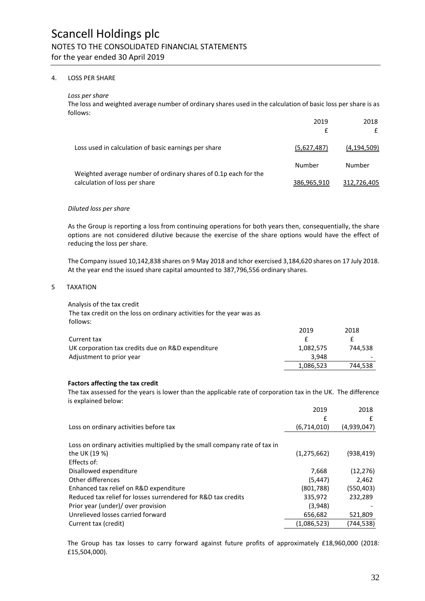### 4. LOSS PER SHARE

#### *Loss per share*

The loss and weighted average number of ordinary shares used in the calculation of basic loss per share is as follows:

|                                                                 | 2019<br>£   | 2018          |
|-----------------------------------------------------------------|-------------|---------------|
| Loss used in calculation of basic earnings per share            | (5,627,487) | (4, 194, 509) |
| Weighted average number of ordinary shares of 0.1p each for the | Number      | Number        |
| calculation of loss per share                                   | 386,965,910 | 312.726.405   |

### *Diluted loss per share*

As the Group is reporting a loss from continuing operations for both years then, consequentially, the share options are not considered dilutive because the exercise of the share options would have the effect of reducing the loss per share.

The Company issued 10,142,838 shares on 9 May 2018 and Ichor exercised 3,184,620 shares on 17 July 2018. At the year end the issued share capital amounted to 387,796,556 ordinary shares.

### 5 TAXATION

Analysis of the tax credit The tax credit on the loss on ordinary activities for the year was as follows:

|                                                   | 2019      | 2018    |
|---------------------------------------------------|-----------|---------|
| Current tax                                       |           |         |
| UK corporation tax credits due on R&D expenditure | 1,082,575 | 744.538 |
| Adjustment to prior year                          | 3.948     |         |
|                                                   | 1,086,523 | 744.538 |

#### **Factors affecting the tax credit**

The tax assessed for the years is lower than the applicable rate of corporation tax in the UK. The difference is explained below:

|                                                                            | 2019          | 2018        |
|----------------------------------------------------------------------------|---------------|-------------|
|                                                                            | £             | £           |
| Loss on ordinary activities before tax                                     | (6,714,010)   | (4,939,047) |
|                                                                            |               |             |
| Loss on ordinary activities multiplied by the small company rate of tax in |               |             |
| the UK (19 %)                                                              | (1, 275, 662) | (938, 419)  |
| Effects of:                                                                |               |             |
| Disallowed expenditure                                                     | 7,668         | (12, 276)   |
| Other differences                                                          | (5, 447)      | 2,462       |
| Enhanced tax relief on R&D expenditure                                     | (801,788)     | (550, 403)  |
| Reduced tax relief for losses surrendered for R&D tax credits              | 335,972       | 232,289     |
| Prior year (under)/ over provision                                         | (3,948)       |             |
| Unrelieved losses carried forward                                          | 656,682       | 521,809     |
| Current tax (credit)                                                       | (1,086,523)   | (744,538)   |

The Group has tax losses to carry forward against future profits of approximately £18,960,000 (2018: £15,504,000).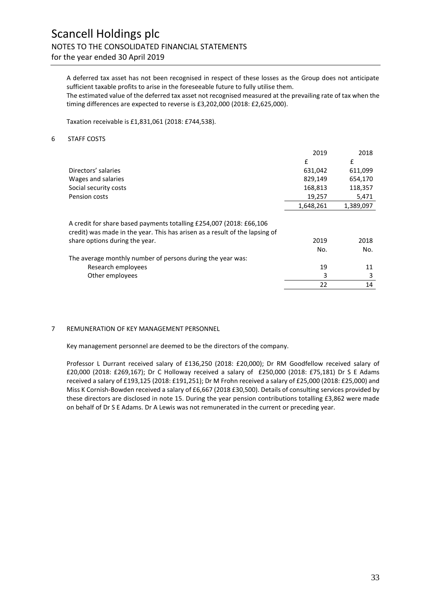### Scancell Holdings plc NOTES TO THE CONSOLIDATED FINANCIAL STATEMENTS for the year ended 30 April 2019

A deferred tax asset has not been recognised in respect of these losses as the Group does not anticipate sufficient taxable profits to arise in the foreseeable future to fully utilise them. The estimated value of the deferred tax asset not recognised measured at the prevailing rate of tax when the timing differences are expected to reverse is £3,202,000 (2018: £2,625,000).

Taxation receivable is £1,831,061 (2018: £744,538).

6 STAFF COSTS

| 2019      | 2018      |
|-----------|-----------|
| f         | £         |
| 631,042   | 611,099   |
| 829,149   | 654,170   |
| 168,813   | 118,357   |
| 19,257    | 5,471     |
| 1,648,261 | 1,389,097 |
|           |           |
|           |           |

A credit for share based payments totalling £254,007 (2018: £66,106 credit) was made in the year. This has arisen as a result of the lapsing of share options during the year. 2019 2018

|                                                            | No. | No. |
|------------------------------------------------------------|-----|-----|
| The average monthly number of persons during the year was: |     |     |
| Research employees                                         | 19  |     |
| Other employees                                            |     |     |
|                                                            |     | 14  |

### 7 REMUNERATION OF KEY MANAGEMENT PERSONNEL

Key management personnel are deemed to be the directors of the company.

Professor L Durrant received salary of £136,250 (2018: £20,000); Dr RM Goodfellow received salary of £20,000 (2018: £269,167); Dr C Holloway received a salary of £250,000 (2018: £75,181) Dr S E Adams received a salary of £193,125 (2018: £191,251); Dr M Frohn received a salary of £25,000 (2018: £25,000) and Miss K Cornish-Bowden received a salary of £6,667 (2018 £30,500). Details of consulting services provided by these directors are disclosed in note 15. During the year pension contributions totalling £3,862 were made on behalf of Dr S E Adams. Dr A Lewis was not remunerated in the current or preceding year.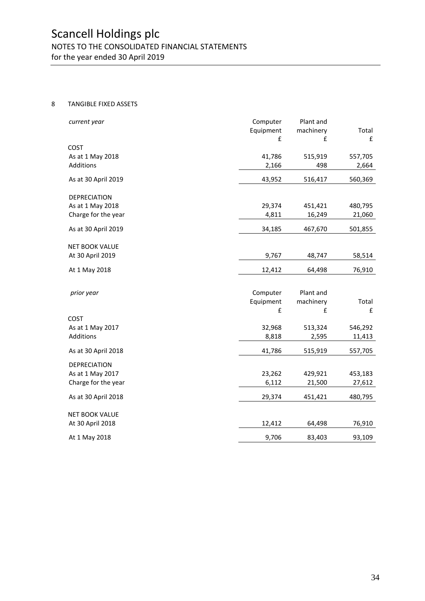## Scancell Holdings plc NOTES TO THE CONSOLIDATED FINANCIAL STATEMENTS for the year ended 30 April 2019

### 8 TANGIBLE FIXED ASSETS

| current year             | Computer<br>Equipment<br>£ | Plant and<br>machinery<br>£ | Total<br>£ |
|--------------------------|----------------------------|-----------------------------|------------|
| COST                     |                            |                             |            |
| As at 1 May 2018         | 41,786                     | 515,919                     | 557,705    |
| Additions                | 2,166                      | 498                         | 2,664      |
| As at 30 April 2019      | 43,952                     | 516,417                     | 560,369    |
| <b>DEPRECIATION</b>      |                            |                             |            |
| As at 1 May 2018         | 29,374                     | 451,421                     | 480,795    |
| Charge for the year      | 4,811                      | 16,249                      | 21,060     |
| As at 30 April 2019      | 34,185                     | 467,670                     | 501,855    |
| <b>NET BOOK VALUE</b>    |                            |                             |            |
| At 30 April 2019         | 9,767                      | 48,747                      | 58,514     |
| At 1 May 2018            | 12,412                     | 64,498                      | 76,910     |
|                          |                            |                             |            |
| prior year               | Computer                   | Plant and                   |            |
|                          | Equipment                  | machinery                   | Total      |
|                          | £                          | £                           | £          |
| COST<br>As at 1 May 2017 | 32,968                     | 513,324                     | 546,292    |
| Additions                | 8,818                      | 2,595                       | 11,413     |
|                          |                            |                             |            |
| As at 30 April 2018      | 41,786                     | 515,919                     | 557,705    |
| <b>DEPRECIATION</b>      |                            |                             |            |
| As at 1 May 2017         | 23,262                     | 429,921                     | 453,183    |
| Charge for the year      | 6,112                      | 21,500                      | 27,612     |
| As at 30 April 2018      | 29,374                     | 451,421                     | 480,795    |
| <b>NET BOOK VALUE</b>    |                            |                             |            |
| At 30 April 2018         | 12,412                     | 64,498                      | 76,910     |
| At 1 May 2018            | 9,706                      | 83,403                      | 93,109     |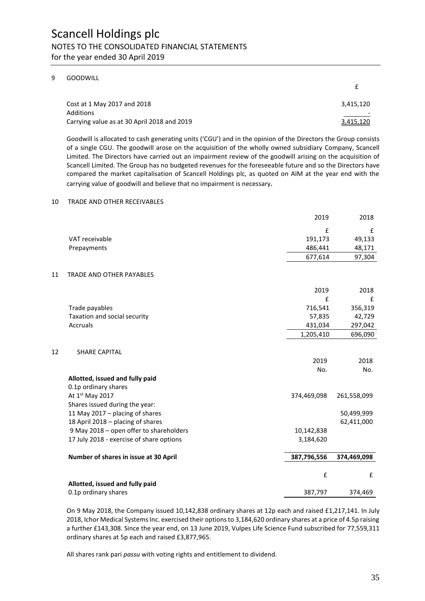### 9 GOODWILL

 $12$ 

| Cost at 1 May 2017 and 2018                 | 3.415.120 |
|---------------------------------------------|-----------|
| Additions                                   |           |
| Carrying value as at 30 April 2018 and 2019 | 3,415,120 |

Goodwill is allocated to cash generating units ('CGU') and in the opinion of the Directors the Group consists of a single CGU. The goodwill arose on the acquisition of the wholly owned subsidiary Company, Scancell Limited. The Directors have carried out an impairment review of the goodwill arising on the acquisition of Scancell Limited. The Group has no budgeted revenues for the foreseeable future and so the Directors have compared the market capitalisation of Scancell Holdings plc, as quoted on AIM at the year end with the carrying value of goodwill and believe that no impairment is necessary*.*

### 10 TRADE AND OTHER RECEIVABLES

|    |                                          | 2019        | 2018        |
|----|------------------------------------------|-------------|-------------|
|    |                                          | £           | £           |
|    | VAT receivable                           | 191,173     | 49,133      |
|    | Prepayments                              | 486,441     | 48,171      |
|    |                                          | 677,614     | 97,304      |
| 11 | <b>TRADE AND OTHER PAYABLES</b>          |             |             |
|    |                                          | 2019        | 2018        |
|    |                                          | £           | £           |
|    | Trade payables                           | 716,541     | 356,319     |
|    | Taxation and social security             | 57,835      | 42,729      |
|    | <b>Accruals</b>                          | 431,034     | 297,042     |
|    |                                          | 1,205,410   | 696,090     |
| 12 | <b>SHARE CAPITAL</b>                     |             |             |
|    |                                          | 2019        | 2018        |
|    |                                          | No.         | No.         |
|    | Allotted, issued and fully paid          |             |             |
|    | 0.1p ordinary shares                     |             |             |
|    | At 1st May 2017                          | 374,469,098 | 261,558,099 |
|    | Shares issued during the year:           |             |             |
|    | 11 May 2017 - placing of shares          |             | 50,499,999  |
|    | 18 April 2018 - placing of shares        |             | 62,411,000  |
|    | 9 May 2018 - open offer to shareholders  | 10,142,838  |             |
|    | 17 July 2018 - exercise of share options | 3,184,620   |             |
|    | Number of shares in issue at 30 April    | 387,796,556 | 374,469,098 |
|    |                                          | £           | £           |
|    | Allotted, issued and fully paid          |             |             |
|    | 0.1p ordinary shares                     | 387,797     | 374,469     |

On 9 May 2018, the Company issued 10,142,838 ordinary shares at 12p each and raised £1,217,141. In July 2018, Ichor Medical Systems Inc. exercised their options to 3,184,620 ordinary shares at a price of 4.5p raising a further £143,308. Since the year end, on 13 June 2019, Vulpes Life Science Fund subscribed for 77,559,311 ordinary shares at 5p each and raised £3,877,965.

All shares rank pari *passu* with voting rights and entitlement to dividend.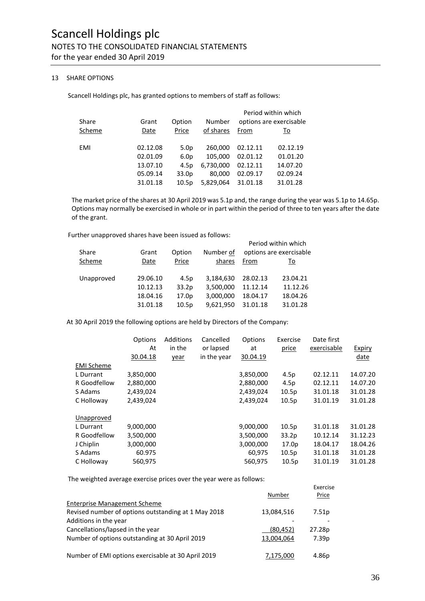### 13 SHARE OPTIONS

Scancell Holdings plc, has granted options to members of staff as follows:

|        |          |                   |           |          | Period within which     |
|--------|----------|-------------------|-----------|----------|-------------------------|
| Share  | Grant    | Option            | Number    |          | options are exercisable |
| Scheme | Date     | Price             | of shares | From     | To                      |
|        |          |                   |           |          |                         |
| EMI    | 02.12.08 | 5.0 <sub>p</sub>  | 260,000   | 02.12.11 | 02.12.19                |
|        | 02.01.09 | 6.0 <sub>p</sub>  | 105,000   | 02.01.12 | 01.01.20                |
|        | 13.07.10 | 4.5p              | 6,730,000 | 02.12.11 | 14.07.20                |
|        | 05.09.14 | 33.0 <sub>p</sub> | 80,000    | 02.09.17 | 02.09.24                |
|        | 31.01.18 | 10.5p             | 5,829,064 | 31.01.18 | 31.01.28                |

The market price of the shares at 30 April 2019 was 5.1p and, the range during the year was 5.1p to 14.65p. Options may normally be exercised in whole or in part within the period of three to ten years after the date of the grant.

Further unapproved shares have been issued as follows:

| Share      | Grant                            | Option                                         | Number of                           |                                  | Period within which<br>options are exercisable |
|------------|----------------------------------|------------------------------------------------|-------------------------------------|----------------------------------|------------------------------------------------|
| Scheme     | Date                             | Price                                          | shares                              | From                             | <u>To</u>                                      |
| Unapproved | 29.06.10<br>10.12.13<br>18.04.16 | 4.5p<br>33.2 <sub>p</sub><br>17.0 <sub>p</sub> | 3.184.630<br>3,500,000<br>3,000,000 | 28.02.13<br>11.12.14<br>18.04.17 | 23.04.21<br>11.12.26<br>18.04.26               |
|            | 31.01.18                         | 10.5p                                          | 9,621,950                           | 31.01.18                         | 31.01.28                                       |

At 30 April 2019 the following options are held by Directors of the Company:

|                   | Options<br>At<br>30.04.18 | Additions<br>in the<br>year | Cancelled<br>or lapsed<br>in the year | Options<br>at<br>30.04.19 | Exercise<br>price | Date first<br>exercisable | Expiry<br>date |
|-------------------|---------------------------|-----------------------------|---------------------------------------|---------------------------|-------------------|---------------------------|----------------|
| <b>EMI Scheme</b> |                           |                             |                                       |                           |                   |                           |                |
| L Durrant         | 3,850,000                 |                             |                                       | 3,850,000                 | 4.5p              | 02.12.11                  | 14.07.20       |
| R Goodfellow      | 2,880,000                 |                             |                                       | 2,880,000                 | 4.5p              | 02.12.11                  | 14.07.20       |
| S Adams           | 2,439,024                 |                             |                                       | 2,439,024                 | 10.5p             | 31.01.18                  | 31.01.28       |
| C Holloway        | 2,439,024                 |                             |                                       | 2,439,024                 | 10.5p             | 31.01.19                  | 31.01.28       |
| Unapproved        |                           |                             |                                       |                           |                   |                           |                |
| L Durrant         | 9,000,000                 |                             |                                       | 9,000,000                 | 10.5p             | 31.01.18                  | 31.01.28       |
| R Goodfellow      | 3,500,000                 |                             |                                       | 3,500,000                 | 33.2 <sub>p</sub> | 10.12.14                  | 31.12.23       |
| J Chiplin         | 3,000,000                 |                             |                                       | 3,000,000                 | 17.0 <sub>p</sub> | 18.04.17                  | 18.04.26       |
| S Adams           | 60.975                    |                             |                                       | 60,975                    | 10.5p             | 31.01.18                  | 31.01.28       |
| C Holloway        | 560,975                   |                             |                                       | 560,975                   | 10.5p             | 31.01.19                  | 31.01.28       |

The weighted average exercise prices over the year were as follows:

| Number     | Exercise<br>Price |
|------------|-------------------|
|            |                   |
| 13,084,516 | 7.51 <sub>p</sub> |
|            |                   |
| (80, 452)  | 27.28p            |
| 13,004,064 | 7.39 <sub>p</sub> |
|            | 4.86p             |
|            | 7,175,000         |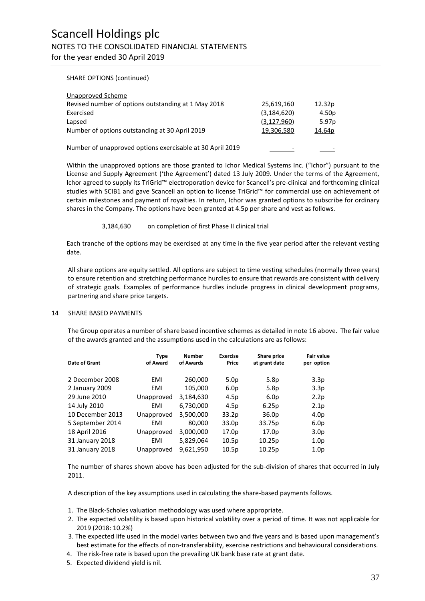SHARE OPTIONS (continued)

| Unapproved Scheme                                         |               |                   |
|-----------------------------------------------------------|---------------|-------------------|
| Revised number of options outstanding at 1 May 2018       | 25,619,160    | 12.32p            |
| Exercised                                                 | (3, 184, 620) | 4.50p             |
| Lapsed                                                    | (3, 127, 960) | 5.97 <sub>p</sub> |
| Number of options outstanding at 30 April 2019            | 19,306,580    | 14.64p            |
| Number of unapproved options exercisable at 30 April 2019 | -             |                   |

Within the unapproved options are those granted to Ichor Medical Systems Inc. ("Ichor") pursuant to the License and Supply Agreement ('the Agreement') dated 13 July 2009. Under the terms of the Agreement, Ichor agreed to supply its TriGrid™ electroporation device for Scancell's pre-clinical and forthcoming clinical studies with SCIB1 and gave Scancell an option to license TriGrid™ for commercial use on achievement of certain milestones and payment of royalties. In return, Ichor was granted options to subscribe for ordinary shares in the Company. The options have been granted at 4.5p per share and vest as follows.

### 3,184,630 on completion of first Phase II clinical trial

Each tranche of the options may be exercised at any time in the five year period after the relevant vesting date.

All share options are equity settled. All options are subject to time vesting schedules (normally three years) to ensure retention and stretching performance hurdles to ensure that rewards are consistent with delivery of strategic goals. Examples of performance hurdles include progress in clinical development programs, partnering and share price targets.

### 14 SHARE BASED PAYMENTS

The Group operates a number of share based incentive schemes as detailed in note 16 above. The fair value of the awards granted and the assumptions used in the calculations are as follows:

| Date of Grant    | <b>Type</b><br>of Award | <b>Number</b><br>of Awards | <b>Exercise</b><br>Price | Share price<br>at grant date | <b>Fair value</b><br>per option |
|------------------|-------------------------|----------------------------|--------------------------|------------------------------|---------------------------------|
| 2 December 2008  | EMI                     | 260,000                    | 5.0 <sub>p</sub>         | 5.8p                         | 3.3p                            |
| 2 January 2009   | EMI                     | 105,000                    | 6.0 <sub>p</sub>         | 5.8 <sub>p</sub>             | 3.3p                            |
| 29 June 2010     | Unapproved              | 3,184,630                  | 4.5p                     | 6.0 <sub>p</sub>             | 2.2p                            |
| 14 July 2010     | EMI                     | 6,730,000                  | 4.5p                     | 6.25p                        | 2.1 <sub>p</sub>                |
| 10 December 2013 | Unapproved              | 3,500,000                  | 33.2 <sub>p</sub>        | 36.0p                        | 4.0 <sub>p</sub>                |
| 5 September 2014 | EMI                     | 80,000                     | 33.0 <sub>p</sub>        | 33.75p                       | 6.0 <sub>p</sub>                |
| 18 April 2016    | Unapproved              | 3,000,000                  | 17.0p                    | 17.0p                        | 3.0 <sub>p</sub>                |
| 31 January 2018  | EMI                     | 5,829,064                  | 10.5p                    | 10.25p                       | 1.0 <sub>p</sub>                |
| 31 January 2018  | Unapproved              | 9,621,950                  | 10.5p                    | 10.25p                       | 1.0 <sub>p</sub>                |

The number of shares shown above has been adjusted for the sub-division of shares that occurred in July 2011.

A description of the key assumptions used in calculating the share-based payments follows.

- 1. The Black-Scholes valuation methodology was used where appropriate.
- 2. The expected volatility is based upon historical volatility over a period of time. It was not applicable for 2019 (2018: 10.2%)
- 3. The expected life used in the model varies between two and five years and is based upon management's best estimate for the effects of non-transferability, exercise restrictions and behavioural considerations.
- 4. The risk-free rate is based upon the prevailing UK bank base rate at grant date.
- 5. Expected dividend yield is nil.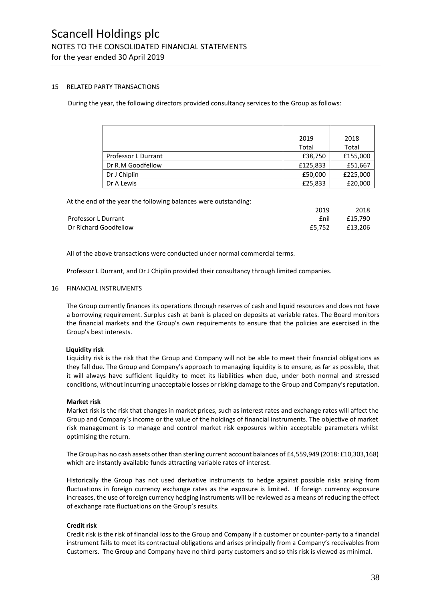## Scancell Holdings plc NOTES TO THE CONSOLIDATED FINANCIAL STATEMENTS for the year ended 30 April 2019

### 15 RELATED PARTY TRANSACTIONS

During the year, the following directors provided consultancy services to the Group as follows:

|                     | 2019     | 2018     |
|---------------------|----------|----------|
|                     | Total    | Total    |
| Professor L Durrant | £38,750  | £155,000 |
| Dr R.M Goodfellow   | £125,833 | £51,667  |
| Dr J Chiplin        | £50,000  | £225,000 |
| Dr A Lewis          | £25,833  | £20,000  |

At the end of the year the following balances were outstanding:

|                       | 2019         | 2018    |
|-----------------------|--------------|---------|
| Professor L Durrant   | <b>f</b> nil | £15.790 |
| Dr Richard Goodfellow | £5.752       | £13.206 |

All of the above transactions were conducted under normal commercial terms.

Professor L Durrant, and Dr J Chiplin provided their consultancy through limited companies.

### 16 FINANCIAL INSTRUMENTS

The Group currently finances its operations through reserves of cash and liquid resources and does not have a borrowing requirement. Surplus cash at bank is placed on deposits at variable rates. The Board monitors the financial markets and the Group's own requirements to ensure that the policies are exercised in the Group's best interests.

### **Liquidity risk**

Liquidity risk is the risk that the Group and Company will not be able to meet their financial obligations as they fall due. The Group and Company's approach to managing liquidity is to ensure, as far as possible, that it will always have sufficient liquidity to meet its liabilities when due, under both normal and stressed conditions, without incurring unacceptable losses or risking damage to the Group and Company's reputation.

### **Market risk**

Market risk is the risk that changes in market prices, such as interest rates and exchange rates will affect the Group and Company's income or the value of the holdings of financial instruments. The objective of market risk management is to manage and control market risk exposures within acceptable parameters whilst optimising the return.

The Group has no cash assets other than sterling current account balances of £4,559,949 (2018: £10,303,168) which are instantly available funds attracting variable rates of interest.

Historically the Group has not used derivative instruments to hedge against possible risks arising from fluctuations in foreign currency exchange rates as the exposure is limited. If foreign currency exposure increases, the use of foreign currency hedging instruments will be reviewed as a means of reducing the effect of exchange rate fluctuations on the Group's results.

### **Credit risk**

Credit risk is the risk of financial loss to the Group and Company if a customer or counter-party to a financial instrument fails to meet its contractual obligations and arises principally from a Company's receivables from Customers. The Group and Company have no third-party customers and so this risk is viewed as minimal.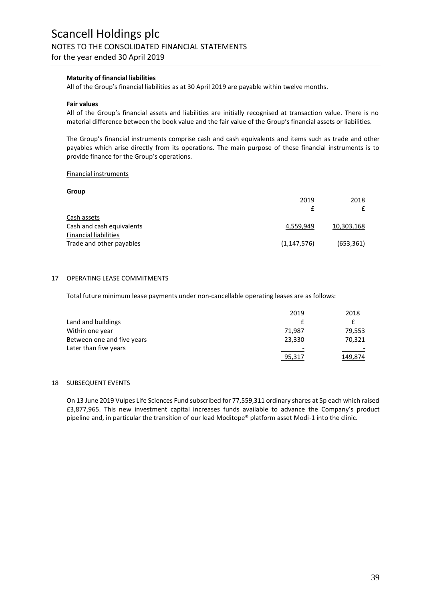for the year ended 30 April 2019

### **Maturity of financial liabilities**

All of the Group's financial liabilities as at 30 April 2019 are payable within twelve months.

### **Fair values**

All of the Group's financial assets and liabilities are initially recognised at transaction value. There is no material difference between the book value and the fair value of the Group's financial assets or liabilities.

The Group's financial instruments comprise cash and cash equivalents and items such as trade and other payables which arise directly from its operations. The main purpose of these financial instruments is to provide finance for the Group's operations.

### Financial instruments

| Group                        |               |              |
|------------------------------|---------------|--------------|
|                              | 2019          | 2018         |
|                              |               | $\mathbf{f}$ |
| Cash assets                  |               |              |
| Cash and cash equivalents    | 4,559,949     | 10,303,168   |
| <b>Financial liabilities</b> |               |              |
| Trade and other payables     | (1, 147, 576) | (653, 361)   |

### 17 OPERATING LEASE COMMITMENTS

Total future minimum lease payments under non-cancellable operating leases are as follows:

|                            | 2019   | 2018    |
|----------------------------|--------|---------|
| Land and buildings         |        |         |
| Within one year            | 71.987 | 79,553  |
| Between one and five years | 23,330 | 70,321  |
| Later than five years      |        |         |
|                            | 95,317 | 149,874 |

### 18 SUBSEQUENT EVENTS

On 13 June 2019 Vulpes Life Sciences Fund subscribed for 77,559,311 ordinary shares at 5p each which raised £3,877,965. This new investment capital increases funds available to advance the Company's product pipeline and, in particular the transition of our lead Moditope® platform asset Modi-1 into the clinic.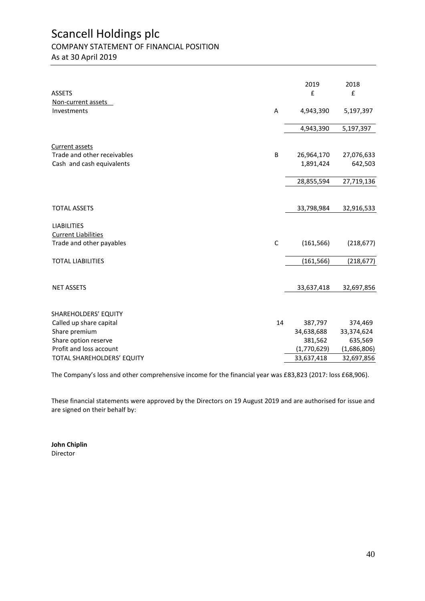### COMPANY STATEMENT OF FINANCIAL POSITION

As at 30 April 2019

| <b>ASSETS</b>                     |             | 2019<br>£   | 2018<br>£   |
|-----------------------------------|-------------|-------------|-------------|
| Non-current assets<br>Investments | A           | 4,943,390   | 5,197,397   |
|                                   |             | 4,943,390   | 5,197,397   |
| Current assets                    |             |             |             |
| Trade and other receivables       | B           | 26,964,170  | 27,076,633  |
| Cash and cash equivalents         |             | 1,891,424   | 642,503     |
|                                   |             | 28,855,594  | 27,719,136  |
|                                   |             |             |             |
| <b>TOTAL ASSETS</b>               |             | 33,798,984  | 32,916,533  |
| <b>LIABILITIES</b>                |             |             |             |
| <b>Current Liabilities</b>        |             |             |             |
| Trade and other payables          | $\mathsf C$ | (161, 566)  | (218, 677)  |
| <b>TOTAL LIABILITIES</b>          |             | (161, 566)  | (218, 677)  |
|                                   |             |             |             |
| <b>NET ASSETS</b>                 |             | 33,637,418  | 32,697,856  |
|                                   |             |             |             |
| SHAREHOLDERS' EQUITY              |             |             |             |
| Called up share capital           | 14          | 387,797     | 374,469     |
| Share premium                     |             | 34,638,688  | 33,374,624  |
| Share option reserve              |             | 381,562     | 635,569     |
| Profit and loss account           |             | (1,770,629) | (1,686,806) |
| TOTAL SHAREHOLDERS' EQUITY        |             | 33,637,418  | 32,697,856  |

The Company's loss and other comprehensive income for the financial year was £83,823 (2017: loss £68,906).

These financial statements were approved by the Directors on 19 August 2019 and are authorised for issue and are signed on their behalf by:

**John Chiplin** Director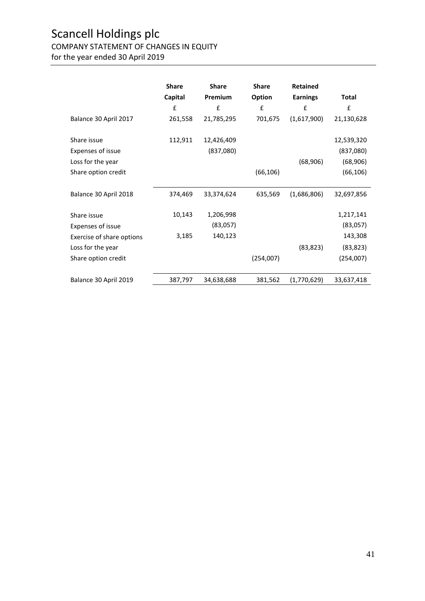## COMPANY STATEMENT OF CHANGES IN EQUITY

for the year ended 30 April 2019

|                           | <b>Share</b><br>Capital | <b>Share</b><br>Premium | <b>Share</b><br><b>Option</b> | <b>Retained</b><br><b>Earnings</b> | <b>Total</b> |
|---------------------------|-------------------------|-------------------------|-------------------------------|------------------------------------|--------------|
|                           | £                       | £                       | £                             | £                                  | £            |
| Balance 30 April 2017     | 261,558                 | 21,785,295              | 701,675                       | (1,617,900)                        | 21,130,628   |
| Share issue               | 112,911                 | 12,426,409              |                               |                                    | 12,539,320   |
| Expenses of issue         |                         | (837,080)               |                               |                                    | (837,080)    |
| Loss for the year         |                         |                         |                               | (68, 906)                          | (68, 906)    |
| Share option credit       |                         |                         | (66,106)                      |                                    | (66, 106)    |
|                           |                         |                         |                               |                                    |              |
| Balance 30 April 2018     | 374,469                 | 33,374,624              | 635,569                       | (1,686,806)                        | 32,697,856   |
|                           |                         |                         |                               |                                    |              |
| Share issue               | 10,143                  | 1,206,998               |                               |                                    | 1,217,141    |
| Expenses of issue         |                         | (83,057)                |                               |                                    | (83,057)     |
| Exercise of share options | 3,185                   | 140,123                 |                               |                                    | 143,308      |
| Loss for the year         |                         |                         |                               | (83, 823)                          | (83, 823)    |
| Share option credit       |                         |                         | (254,007)                     |                                    | (254,007)    |
|                           |                         |                         |                               |                                    |              |
| Balance 30 April 2019     | 387,797                 | 34,638,688              | 381,562                       | (1,770,629)                        | 33,637,418   |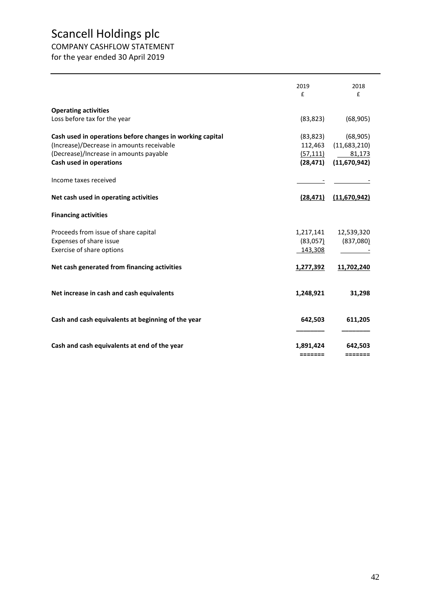## COMPANY CASHFLOW STATEMENT

for the year ended 30 April 2019

|                                                                                                                                                                             | 2019<br>f                                      | 2018<br>f                                           |
|-----------------------------------------------------------------------------------------------------------------------------------------------------------------------------|------------------------------------------------|-----------------------------------------------------|
| <b>Operating activities</b><br>Loss before tax for the year                                                                                                                 | (83, 823)                                      | (68, 905)                                           |
| Cash used in operations before changes in working capital<br>(Increase)/Decrease in amounts receivable<br>(Decrease)/Increase in amounts payable<br>Cash used in operations | (83, 823)<br>112,463<br>(57, 111)<br>(28, 471) | (68, 905)<br>(11,683,210)<br>81,173<br>(11,670,942) |
| Income taxes received                                                                                                                                                       |                                                |                                                     |
| Net cash used in operating activities                                                                                                                                       | (28, 471)                                      | (11,670,942)                                        |
| <b>Financing activities</b>                                                                                                                                                 |                                                |                                                     |
| Proceeds from issue of share capital<br>Expenses of share issue<br>Exercise of share options                                                                                | 1,217,141<br>(83,057)<br>143,308               | 12,539,320<br>(837,080)                             |
| Net cash generated from financing activities                                                                                                                                | 1,277,392                                      | 11,702,240                                          |
| Net increase in cash and cash equivalents                                                                                                                                   | 1,248,921                                      | 31,298                                              |
| Cash and cash equivalents at beginning of the year                                                                                                                          | 642,503                                        | 611,205                                             |
| Cash and cash equivalents at end of the year                                                                                                                                | 1,891,424<br>=======                           | 642,503                                             |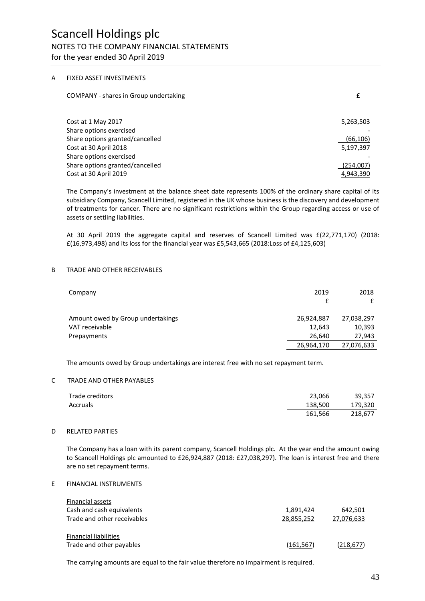### Scancell Holdings plc NOTES TO THE COMPANY FINANCIAL STATEMENTS for the year ended 30 April 2019

### A FIXED ASSET INVESTMENTS

| COMPANY - shares in Group undertaking | f         |
|---------------------------------------|-----------|
| Cost at 1 May 2017                    | 5,263,503 |
| Share options exercised               |           |
| Share options granted/cancelled       | (66, 106) |
| Cost at 30 April 2018                 | 5,197,397 |
| Share options exercised               |           |
| Share options granted/cancelled       | (254,007) |
| Cost at 30 April 2019                 | 4,943,390 |

The Company's investment at the balance sheet date represents 100% of the ordinary share capital of its subsidiary Company, Scancell Limited, registered in the UK whose business is the discovery and development of treatments for cancer. There are no significant restrictions within the Group regarding access or use of assets or settling liabilities.

At 30 April 2019 the aggregate capital and reserves of Scancell Limited was £(22,771,170) (2018: £(16,973,498) and its loss for the financial year was £5,543,665 (2018:Loss of £4,125,603)

### B TRADE AND OTHER RECEIVABLES

| 2019<br>f            | 2018<br>£            |
|----------------------|----------------------|
| 26,924,887<br>12,643 | 27,038,297<br>10,393 |
| 26,640               | 27,943               |
| 26,964,170           | 27,076,633           |
|                      |                      |

The amounts owed by Group undertakings are interest free with no set repayment term.

### C TRADE AND OTHER PAYABLES

| Trade creditors | 23.066  | 39.357  |
|-----------------|---------|---------|
| Accruals        | 138,500 | 179,320 |
|                 | 161.566 | 218.677 |

### D RELATED PARTIES

The Company has a loan with its parent company, Scancell Holdings plc. At the year end the amount owing to Scancell Holdings plc amounted to £26,924,887 (2018: £27,038,297). The loan is interest free and there are no set repayment terms.

### E FINANCIAL INSTRUMENTS

| Financial assets             |            |            |
|------------------------------|------------|------------|
| Cash and cash equivalents    | 1,891,424  | 642.501    |
| Trade and other receivables  | 28,855,252 | 27,076,633 |
| <b>Financial liabilities</b> |            |            |
| Trade and other payables     | (161, 567) | (218, 677) |

The carrying amounts are equal to the fair value therefore no impairment is required.